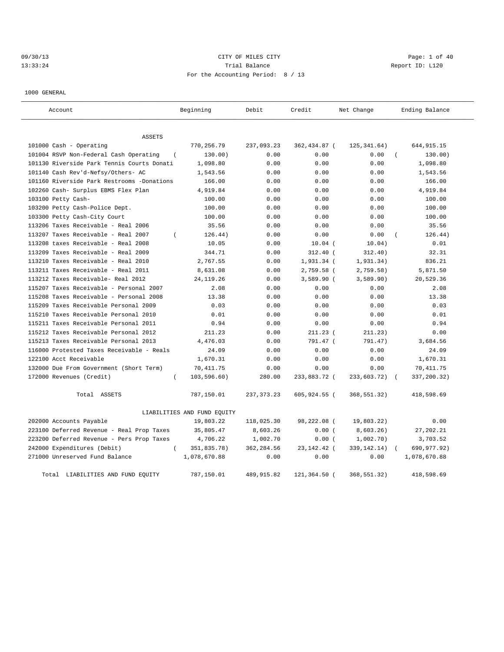# 09/30/13 CITY OF MILES CITY CHANGES CITY CONTROLLER Page: 1 of 40 13:33:24 Trial Balance Trial Balance Report ID: L120 For the Accounting Period: 8 / 13

1000 GENERAL

| Account                                         | Beginning                   | Debit        | Credit        | Net Change    | Ending Balance |
|-------------------------------------------------|-----------------------------|--------------|---------------|---------------|----------------|
| <b>ASSETS</b>                                   |                             |              |               |               |                |
| 101000 Cash - Operating                         | 770,256.79                  | 237,093.23   | 362,434.87 (  | 125, 341.64)  | 644, 915.15    |
| 101004 RSVP Non-Federal Cash Operating          | 130.00)                     | 0.00         | 0.00          | 0.00          | 130.00)        |
| 101130 Riverside Park Tennis Courts Donati      | 1,098.80                    | 0.00         | 0.00          | 0.00          | 1,098.80       |
| 101140 Cash Rev'd-Nefsy/Others- AC              | 1,543.56                    | 0.00         | 0.00          | 0.00          | 1,543.56       |
| 101160 Riverside Park Restrooms -Donations      | 166.00                      | 0.00         | 0.00          | 0.00          | 166.00         |
| 102260 Cash- Surplus EBMS Flex Plan             | 4,919.84                    | 0.00         | 0.00          | 0.00          | 4,919.84       |
| 103100 Petty Cash-                              | 100.00                      | 0.00         | 0.00          | 0.00          | 100.00         |
| 103200 Petty Cash-Police Dept.                  | 100.00                      | 0.00         | 0.00          | 0.00          | 100.00         |
| 103300 Petty Cash-City Court                    | 100.00                      | 0.00         | 0.00          | 0.00          | 100.00         |
| 113206 Taxes Receivable - Real 2006             | 35.56                       | 0.00         | 0.00          | 0.00          | 35.56          |
| 113207 Taxes Receivable - Real 2007<br>$\left($ | 126.44)                     | 0.00         | 0.00          | 0.00          | 126.44)        |
| 113208 taxes Receivable - Real 2008             | 10.05                       | 0.00         | $10.04$ (     | 10.04)        | 0.01           |
| 113209 Taxes Receivable - Real 2009             | 344.71                      | 0.00         | 312.40 (      | 312.40)       | 32.31          |
| 113210 Taxes Receivable - Real 2010             | 2,767.55                    | 0.00         | 1,931.34 (    | 1,931.34)     | 836.21         |
| 113211 Taxes Receivable - Real 2011             | 8,631.08                    | 0.00         | 2,759.58 (    | 2,759.58)     | 5,871.50       |
| 113212 Taxes Receivable- Real 2012              | 24, 119. 26                 | 0.00         | $3,589.90$ (  | 3,589.90)     | 20,529.36      |
| 115207 Taxes Receivable - Personal 2007         | 2.08                        | 0.00         | 0.00          | 0.00          | 2.08           |
| 115208 Taxes Receivable - Personal 2008         | 13.38                       | 0.00         | 0.00          | 0.00          | 13.38          |
| 115209 Taxes Receivable Personal 2009           | 0.03                        | 0.00         | 0.00          | 0.00          | 0.03           |
| 115210 Taxes Receivable Personal 2010           | 0.01                        | 0.00         | 0.00          | 0.00          | 0.01           |
| 115211 Taxes Receivable Personal 2011           | 0.94                        | 0.00         | 0.00          | 0.00          | 0.94           |
| 115212 Taxes Receivable Personal 2012           | 211.23                      | 0.00         | $211.23$ (    | 211.23)       | 0.00           |
| 115213 Taxes Receivable Personal 2013           | 4,476.03                    | 0.00         | 791.47 (      | 791.47)       | 3,684.56       |
| 116000 Protested Taxes Receivable - Reals       | 24.09                       | 0.00         | 0.00          | 0.00          | 24.09          |
| 122100 Acct Receivable                          | 1,670.31                    | 0.00         | 0.00          | 0.00          | 1,670.31       |
| 132000 Due From Government (Short Term)         | 70, 411.75                  | 0.00         | 0.00          | 0.00          | 70, 411.75     |
| 172000 Revenues (Credit)<br>$\left($            | 103, 596.60)                | 280.00       | 233,883.72 (  | 233,603.72)   | 337,200.32)    |
| Total ASSETS                                    | 787,150.01                  | 237, 373. 23 | 605,924.55 (  | 368,551.32)   | 418,598.69     |
|                                                 | LIABILITIES AND FUND EQUITY |              |               |               |                |
| 202000 Accounts Payable                         | 19,803.22                   | 118,025.30   | 98,222.08 (   | 19,803.22)    | 0.00           |
| 223100 Deferred Revenue - Real Prop Taxes       | 35,805.47                   | 8,603.26     | 0.00(         | 8,603.26)     | 27,202.21      |
| 223200 Deferred Revenue - Pers Prop Taxes       | 4,706.22                    | 1,002.70     | 0.00(         | 1,002.70)     | 3,703.52       |
| 242000 Expenditures (Debit)<br>$\left($         | 351,835.78)                 | 362,284.56   | 23, 142. 42 ( | 339, 142. 14) | 690,977.92)    |
| 271000 Unreserved Fund Balance                  | 1,078,670.88                | 0.00         | 0.00          | 0.00          | 1,078,670.88   |
| Total LIABILITIES AND FUND EQUITY               | 787,150.01                  | 489,915.82   | 121,364.50 (  | 368,551.32)   | 418,598.69     |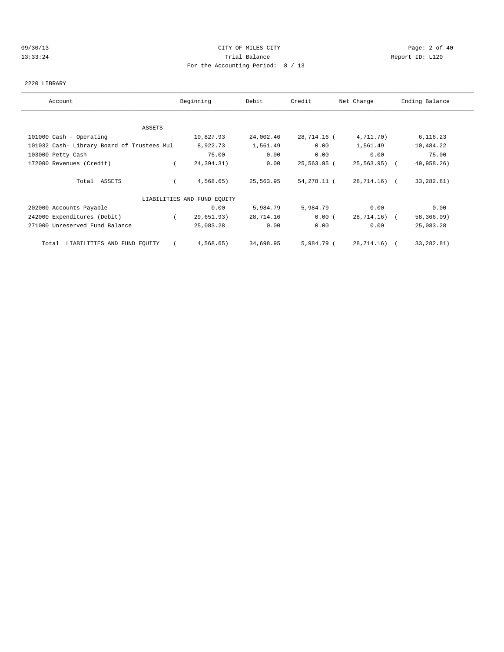### 09/30/13 Page: 2 of 40 13:33:24 Trial Balance Report ID: L120 For the Accounting Period: 8 / 13

### 2220 LIBRARY

| Account                                    | Beginning                   | Debit     | Credit      | Net Change   | Ending Balance |
|--------------------------------------------|-----------------------------|-----------|-------------|--------------|----------------|
|                                            |                             |           |             |              |                |
| ASSETS                                     |                             |           |             |              |                |
| 101000 Cash - Operating                    | 10,827.93                   | 24,002.46 | 28,714.16 ( | 4,711.70)    | 6,116.23       |
| 101032 Cash- Library Board of Trustees Mul | 8,922.73                    | 1,561.49  | 0.00        | 1,561.49     | 10,484.22      |
| 103000 Petty Cash                          | 75.00                       | 0.00      | 0.00        | 0.00         | 75.00          |
| 172000 Revenues (Credit)                   | 24,394.31)                  | 0.00      | 25,563.95 ( | 25,563.95) ( | 49,958.26)     |
| Total ASSETS                               | 4,568.65)                   | 25,563.95 | 54,278.11 ( | 28,714.16) ( | 33,282.81)     |
|                                            | LIABILITIES AND FUND EQUITY |           |             |              |                |
| 202000 Accounts Payable                    | 0.00                        | 5,984.79  | 5,984.79    | 0.00         | 0.00           |
| 242000 Expenditures (Debit)                | 29,651.93)                  | 28,714.16 | 0.00(       | 28,714.16) ( | 58,366.09)     |
| 271000 Unreserved Fund Balance             | 25,083.28                   | 0.00      | 0.00        | 0.00         | 25,083.28      |
| Total LIABILITIES AND FUND EQUITY          | 4,568.65)                   | 34,698.95 | 5,984.79 (  | 28,714.16) ( | 33, 282.81)    |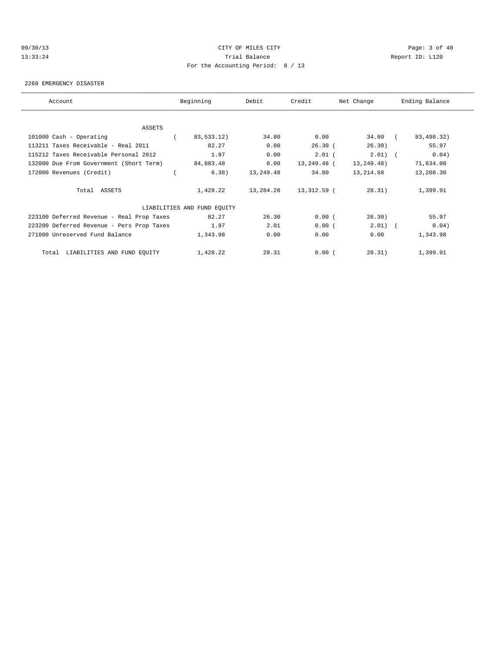# 09/30/13 Page: 3 of 40 13:33:24 Trial Balance Report ID: L120 For the Accounting Period: 8 / 13

### 2260 EMERGENCY DISASTER

| Account                                   | Beginning                   | Debit     | Credit      | Net Change | Ending Balance |  |
|-------------------------------------------|-----------------------------|-----------|-------------|------------|----------------|--|
|                                           |                             |           |             |            |                |  |
| ASSETS                                    |                             |           |             |            |                |  |
| 101000 Cash - Operating                   | 83,533.12)                  | 34.80     | 0.00        | 34.80 (    | 83,498.32)     |  |
| 113211 Taxes Receivable - Real 2011       | 82.27                       | 0.00      | 26.30(      | 26.30)     | 55.97          |  |
| 115212 Taxes Receivable Personal 2012     | 1.97                        | 0.00      | $2.01$ (    | $2.01)$ (  | 0.04)          |  |
| 132000 Due From Government (Short Term)   | 84,883.48                   | 0.00      | 13,249.48 ( | 13,249.48) | 71,634.00      |  |
| 172000 Revenues (Credit)                  | 6.38)                       | 13,249.48 | 34.80       | 13,214.68  | 13,208.30      |  |
| Total ASSETS                              | 1,428.22                    | 13,284.28 | 13,312.59 ( | 28.31)     | 1,399.91       |  |
|                                           | LIABILITIES AND FUND EQUITY |           |             |            |                |  |
| 223100 Deferred Revenue - Real Prop Taxes | 82.27                       | 26.30     | 0.00(       | 26.30)     | 55.97          |  |
| 223200 Deferred Revenue - Pers Prop Taxes | 1.97                        | 2.01      | 0.00(       | $2.01)$ (  | 0.04)          |  |
| 271000 Unreserved Fund Balance            | 1,343.98                    | 0.00      | 0.00        | 0.00       | 1,343.98       |  |
| Total LIABILITIES AND FUND EQUITY         | 1,428.22                    | 28.31     | 0.00(       | 28.31)     | 1,399.91       |  |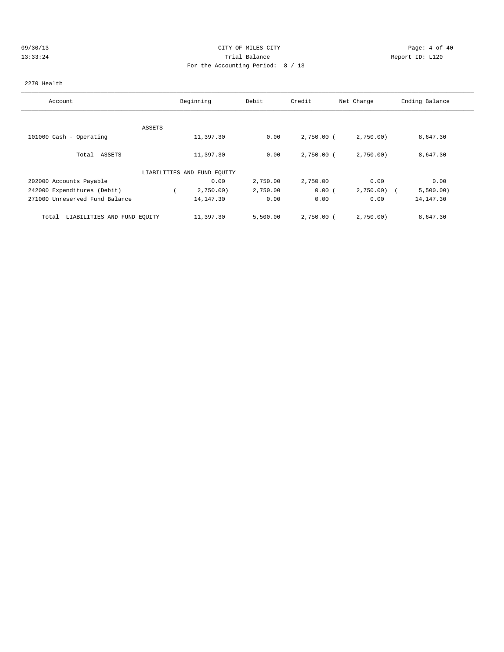# 09/30/13 Page: 4 of 40 13:33:24 Trial Balance Report ID: L120 For the Accounting Period: 8 / 13

### 2270 Health

| Account                              |        | Beginning                   | Debit    | Credit       | Net Change   | Ending Balance |
|--------------------------------------|--------|-----------------------------|----------|--------------|--------------|----------------|
|                                      | ASSETS |                             |          |              |              |                |
| 101000 Cash - Operating              |        | 11,397.30                   | 0.00     | $2,750.00$ ( | 2,750.00     | 8,647.30       |
| Total ASSETS                         |        | 11,397.30                   | 0.00     | $2,750.00$ ( | 2,750.00     | 8,647.30       |
|                                      |        | LIABILITIES AND FUND EQUITY |          |              |              |                |
| 202000 Accounts Payable              |        | 0.00                        | 2,750.00 | 2,750.00     | 0.00         | 0.00           |
| 242000 Expenditures (Debit)          |        | 2,750.00                    | 2,750.00 | 0.00(        | $2,750.00$ ( | 5,500.00)      |
| 271000 Unreserved Fund Balance       |        | 14, 147.30                  | 0.00     | 0.00         | 0.00         | 14, 147.30     |
| LIABILITIES AND FUND EQUITY<br>Total |        | 11,397.30                   | 5,500.00 | $2,750.00$ ( | 2,750.00)    | 8,647.30       |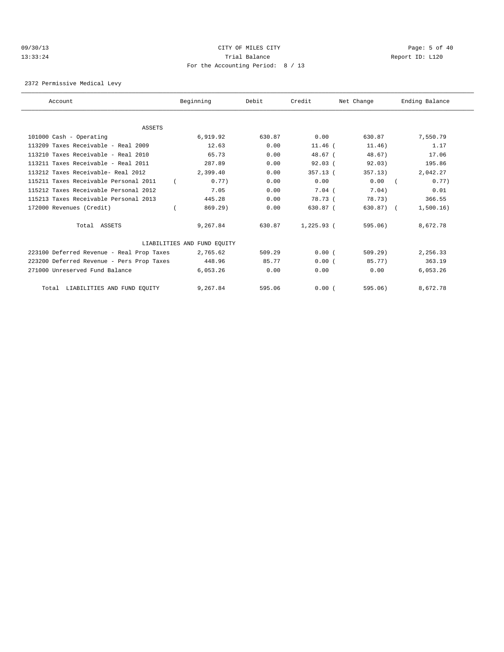### 09/30/13 Page: 5 of 40 13:33:24 Trial Balance Report ID: L120 For the Accounting Period: 8 / 13

2372 Permissive Medical Levy

| Account                                   | Beginning                   | Debit  | Credit       | Net Change | Ending Balance |
|-------------------------------------------|-----------------------------|--------|--------------|------------|----------------|
|                                           |                             |        |              |            |                |
| <b>ASSETS</b>                             |                             |        |              |            |                |
| 101000 Cash - Operating                   | 6,919.92                    | 630.87 | 0.00         | 630.87     | 7,550.79       |
| $113209$ Taxes Receivable - Real $2009$   | 12.63                       | 0.00   | $11.46$ (    | 11.46)     | 1.17           |
| 113210 Taxes Receivable - Real 2010       | 65.73                       | 0.00   | $48.67$ (    | 48.67)     | 17.06          |
| 113211 Taxes Receivable - Real 2011       | 287.89                      | 0.00   | 92.03(       | 92.03)     | 195.86         |
| 113212 Taxes Receivable- Real 2012        | 2,399.40                    | 0.00   | $357.13$ (   | 357.13)    | 2,042.27       |
| 115211 Taxes Receivable Personal 2011     | 0.77)                       | 0.00   | 0.00         | 0.00       | 0.77)          |
| 115212 Taxes Receivable Personal 2012     | 7.05                        | 0.00   | $7.04$ (     | 7.04)      | 0.01           |
| 115213 Taxes Receivable Personal 2013     | 445.28                      | 0.00   | 78.73 (      | 78.73)     | 366.55         |
| 172000 Revenues (Credit)                  | 869.29)                     | 0.00   | 630.87 (     | 630.87) (  | 1,500.16)      |
| Total ASSETS                              | 9,267.84                    | 630.87 | $1,225.93$ ( | 595.06)    | 8,672.78       |
|                                           | LIABILITIES AND FUND EQUITY |        |              |            |                |
| 223100 Deferred Revenue - Real Prop Taxes | 2,765.62                    | 509.29 | 0.00(        | 509.29     | 2,256.33       |
| 223200 Deferred Revenue - Pers Prop Taxes | 448.96                      | 85.77  | 0.00(        | 85.77)     | 363.19         |
| 271000 Unreserved Fund Balance            | 6,053.26                    | 0.00   | 0.00         | 0.00       | 6,053.26       |
| LIABILITIES AND FUND EQUITY<br>Total      | 9,267.84                    | 595.06 | 0.00(        | 595.06)    | 8,672.78       |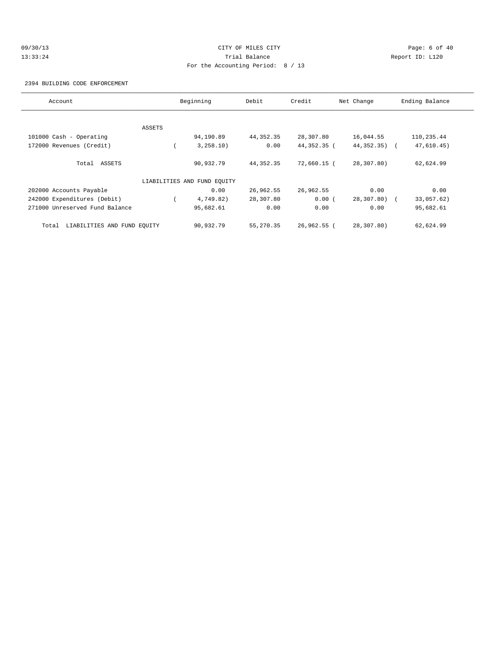# 09/30/13 Page: 6 of 40 13:33:24 Trial Balance Report ID: L120 For the Accounting Period: 8 / 13

2394 BUILDING CODE ENFORCEMENT

| Account                              |        | Beginning                   | Debit       | Credit      | Net Change    | Ending Balance |
|--------------------------------------|--------|-----------------------------|-------------|-------------|---------------|----------------|
|                                      |        |                             |             |             |               |                |
|                                      | ASSETS |                             |             |             |               |                |
| 101000 Cash - Operating              |        | 94,190.89                   | 44,352.35   | 28,307.80   | 16,044.55     | 110,235.44     |
| 172000 Revenues (Credit)             |        | 3,258.10)                   | 0.00        | 44,352.35 ( | $44,352,35$ ( | 47,610.45)     |
| Total ASSETS                         |        | 90,932.79                   | 44,352.35   | 72,660.15 ( | 28,307.80)    | 62,624.99      |
|                                      |        | LIABILITIES AND FUND EQUITY |             |             |               |                |
| 202000 Accounts Payable              |        | 0.00                        | 26,962.55   | 26,962.55   | 0.00          | 0.00           |
| 242000 Expenditures (Debit)          |        | 4,749.82)                   | 28,307.80   | 0.00(       | 28,307.80) (  | 33,057.62)     |
| 271000 Unreserved Fund Balance       |        | 95,682.61                   | 0.00        | 0.00        | 0.00          | 95,682.61      |
| LIABILITIES AND FUND EQUITY<br>Total |        | 90,932.79                   | 55, 270, 35 | 26,962.55 ( | 28,307.80)    | 62,624.99      |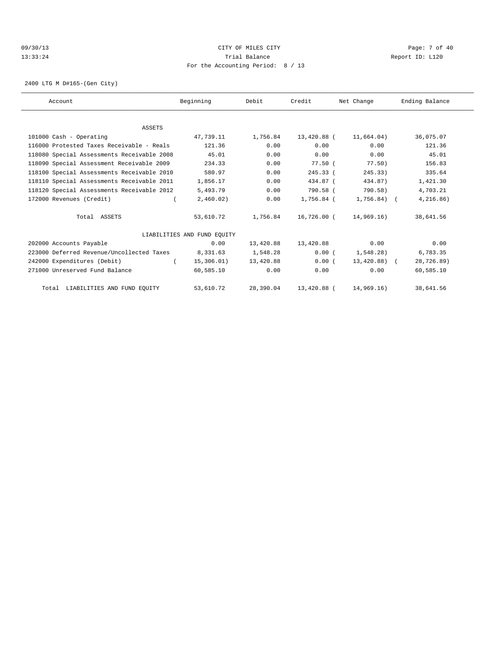# 09/30/13 Page: 7 of 40 13:33:24 Trial Balance Report ID: L120 For the Accounting Period: 8 / 13

2400 LTG M D#165-(Gen City)

| Account                                    | Beginning                   | Debit     | Credit      | Net Change   | Ending Balance |  |
|--------------------------------------------|-----------------------------|-----------|-------------|--------------|----------------|--|
|                                            |                             |           |             |              |                |  |
| ASSETS                                     |                             |           |             |              |                |  |
| 101000 Cash - Operating                    | 47,739.11                   | 1,756.84  | 13,420.88 ( | 11,664.04)   | 36,075.07      |  |
| 116000 Protested Taxes Receivable - Reals  | 121.36                      | 0.00      | 0.00        | 0.00         | 121.36         |  |
| 118080 Special Assessments Receivable 2008 | 45.01                       | 0.00      | 0.00        | 0.00         | 45.01          |  |
| 118090 Special Assessment Receivable 2009  | 234.33                      | 0.00      | 77.50(      | 77.50)       | 156.83         |  |
| 118100 Special Assessments Receivable 2010 | 580.97                      | 0.00      | $245.33$ (  | 245.33)      | 335.64         |  |
| 118110 Special Assessments Receivable 2011 | 1,856.17                    | 0.00      | 434.87 (    | 434.87)      | 1,421.30       |  |
| 118120 Special Assessments Receivable 2012 | 5,493.79                    | 0.00      | 790.58 (    | 790.58)      | 4,703.21       |  |
| 172000 Revenues (Credit)                   | 2,460.02)                   | 0.00      | 1,756.84 (  | $1,756.84$ ( | 4,216.86)      |  |
| Total ASSETS                               | 53,610.72                   | 1,756.84  | 16,726.00 ( | 14,969.16)   | 38,641.56      |  |
|                                            | LIABILITIES AND FUND EOUITY |           |             |              |                |  |
| 202000 Accounts Payable                    | 0.00                        | 13,420.88 | 13,420.88   | 0.00         | 0.00           |  |
| 223000 Deferred Revenue/Uncollected Taxes  | 8,331.63                    | 1,548.28  | 0.00(       | 1,548.28     | 6,783.35       |  |
| 242000 Expenditures (Debit)                | 15,306.01)                  | 13,420.88 | 0.00(       | 13,420.88) ( | 28,726.89)     |  |
| 271000 Unreserved Fund Balance             | 60,585.10                   | 0.00      | 0.00        | 0.00         | 60,585.10      |  |
| Total LIABILITIES AND FUND EQUITY          | 53,610.72                   | 28,390.04 | 13,420.88 ( | 14,969.16)   | 38,641.56      |  |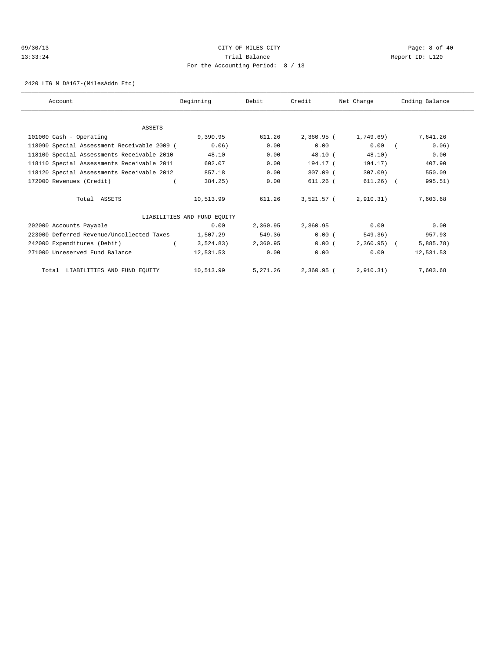# 09/30/13 Page: 8 of 40 13:33:24 Trial Balance Report ID: L120 For the Accounting Period: 8 / 13

2420 LTG M D#167-(MilesAddn Etc)

| Account                                     | Beginning                   | Debit    | Credit       | Net Change   | Ending Balance |
|---------------------------------------------|-----------------------------|----------|--------------|--------------|----------------|
|                                             |                             |          |              |              |                |
| ASSETS                                      |                             |          |              |              |                |
| 101000 Cash - Operating                     | 9,390.95                    | 611.26   | 2,360.95 (   | 1,749.69)    | 7,641.26       |
| 118090 Special Assessment Receivable 2009 ( | 0.06                        | 0.00     | 0.00         | 0.00         | 0.06)          |
| 118100 Special Assessments Receivable 2010  | 48.10                       | 0.00     | 48.10 (      | 48.10)       | 0.00           |
| 118110 Special Assessments Receivable 2011  | 602.07                      | 0.00     | 194.17 (     | 194.17)      | 407.90         |
| 118120 Special Assessments Receivable 2012  | 857.18                      | 0.00     | 307.09 (     | $307.09$ )   | 550.09         |
| 172000 Revenues (Credit)                    | 384.25)                     | 0.00     | $611.26$ (   | $611.26)$ (  | 995.51)        |
| Total ASSETS                                | 10,513.99                   | 611.26   | $3,521.57$ ( | 2,910.31)    | 7,603.68       |
|                                             | LIABILITIES AND FUND EQUITY |          |              |              |                |
| 202000 Accounts Payable                     | 0.00                        | 2,360.95 | 2,360.95     | 0.00         | 0.00           |
| 223000 Deferred Revenue/Uncollected Taxes   | 1,507.29                    | 549.36   | 0.00(        | 549.36)      | 957.93         |
| 242000 Expenditures (Debit)                 | 3,524.83)                   | 2,360.95 | 0.00(        | $2,360.95$ ( | 5,885.78       |
| 271000 Unreserved Fund Balance              | 12,531.53                   | 0.00     | 0.00         | 0.00         | 12,531.53      |
| Total LIABILITIES AND FUND EQUITY           | 10,513.99                   | 5,271.26 | 2,360.95 (   | 2,910,31)    | 7,603.68       |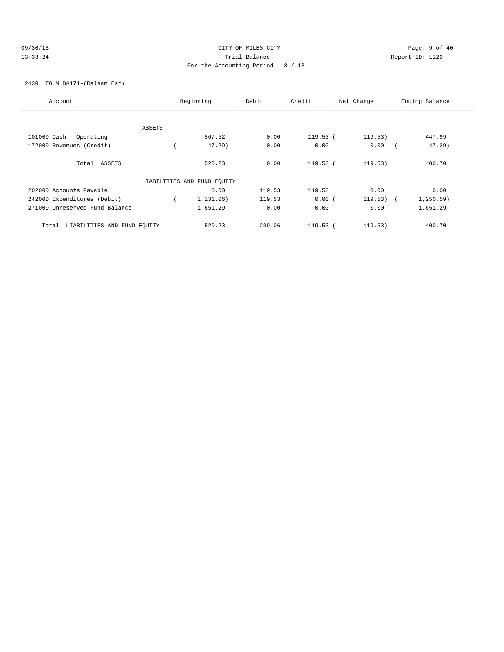# 09/30/13 Page: 9 of 40 13:33:24 Trial Balance Report ID: L120 For the Accounting Period: 8 / 13

2430 LTG M D#171-(Balsam Est)

| Account                              |        | Beginning                   | Debit  | Credit     | Net Change  | Ending Balance |
|--------------------------------------|--------|-----------------------------|--------|------------|-------------|----------------|
|                                      |        |                             |        |            |             |                |
|                                      | ASSETS |                             |        |            |             |                |
| 101000 Cash - Operating              |        | 567.52                      | 0.00   | $119.53$ ( | 119.53)     | 447.99         |
| 172000 Revenues (Credit)             |        | $47.29$ )                   | 0.00   | 0.00       | 0.00        | $47.29$ )      |
| Total ASSETS                         |        | 520.23                      | 0.00   | $119.53$ ( | 119.53)     | 400.70         |
|                                      |        | LIABILITIES AND FUND EQUITY |        |            |             |                |
| 202000 Accounts Payable              |        | 0.00                        | 119.53 | 119.53     | 0.00        | 0.00           |
| 242000 Expenditures (Debit)          |        | 1, 131, 06)                 | 119.53 | 0.00(      | $119.53)$ ( | 1, 250.59)     |
| 271000 Unreserved Fund Balance       |        | 1,651.29                    | 0.00   | 0.00       | 0.00        | 1,651.29       |
| LIABILITIES AND FUND EQUITY<br>Total |        | 520.23                      | 239.06 | $119.53$ ( | 119.53)     | 400.70         |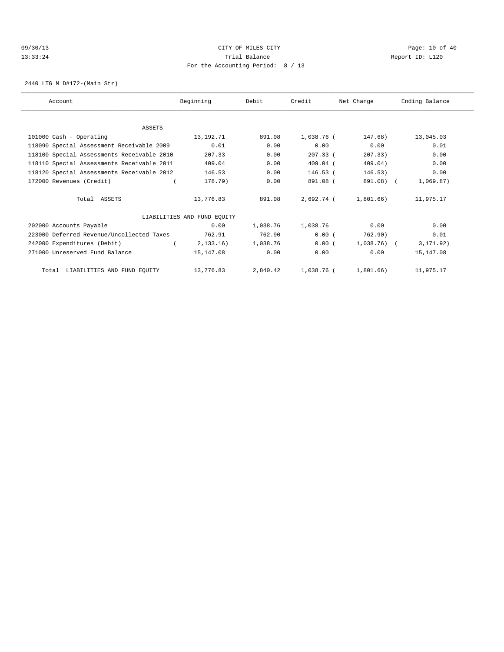# 09/30/13 Page: 10 of 40 13:33:24 Trial Balance Report ID: L120 For the Accounting Period: 8 / 13

2440 LTG M D#172-(Main Str)

| Account                                    | Beginning                   | Debit    | Credit     | Net Change   | Ending Balance |
|--------------------------------------------|-----------------------------|----------|------------|--------------|----------------|
|                                            |                             |          |            |              |                |
| ASSETS                                     |                             |          |            |              |                |
| 101000 Cash - Operating                    | 13,192.71                   | 891.08   | 1,038.76 ( | 147.68)      | 13,045.03      |
| 118090 Special Assessment Receivable 2009  | 0.01                        | 0.00     | 0.00       | 0.00         | 0.01           |
| 118100 Special Assessments Receivable 2010 | 207.33                      | 0.00     | $207.33$ ( | 207.33)      | 0.00           |
| 118110 Special Assessments Receivable 2011 | 409.04                      | 0.00     | $409.04$ ( | 409.04)      | 0.00           |
| 118120 Special Assessments Receivable 2012 | 146.53                      | 0.00     | $146.53$ ( | 146.53)      | 0.00           |
| 172000 Revenues (Credit)                   | 178.79)                     | 0.00     | 891.08 (   | 891.08) (    | 1,069.87)      |
| Total ASSETS                               | 13,776.83                   | 891.08   | 2,692.74 ( | 1,801.66)    | 11,975.17      |
|                                            | LIABILITIES AND FUND EQUITY |          |            |              |                |
| 202000 Accounts Payable                    | 0.00                        | 1,038.76 | 1,038.76   | 0.00         | 0.00           |
| 223000 Deferred Revenue/Uncollected Taxes  | 762.91                      | 762.90   | 0.00(      | 762.90)      | 0.01           |
| 242000 Expenditures (Debit)                | 2, 133, 16)                 | 1,038.76 | 0.00(      | $1,038.76$ ( | 3, 171.92)     |
| 271000 Unreserved Fund Balance             | 15,147.08                   | 0.00     | 0.00       | 0.00         | 15, 147.08     |
| Total LIABILITIES AND FUND EQUITY          | 13,776.83                   | 2,840.42 | 1,038.76 ( | 1,801.66)    | 11,975.17      |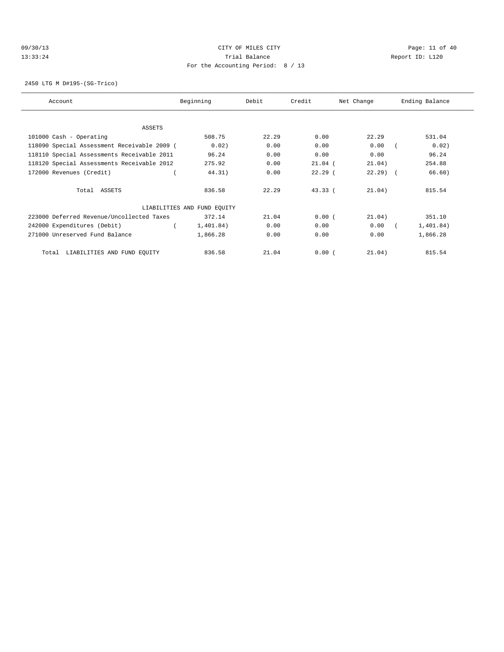# 09/30/13 Page: 11 of 40 13:33:24 Trial Balance Report ID: L120 For the Accounting Period: 8 / 13

2450 LTG M D#195-(SG-Trico)

| Account                                     | Beginning                   | Debit | Credit    | Net Change | Ending Balance |
|---------------------------------------------|-----------------------------|-------|-----------|------------|----------------|
|                                             |                             |       |           |            |                |
| ASSETS                                      |                             |       |           |            |                |
| 101000 Cash - Operating                     | 508.75                      | 22.29 | 0.00      | 22.29      | 531.04         |
| 118090 Special Assessment Receivable 2009 ( | 0.02)                       | 0.00  | 0.00      | 0.00       | 0.02)          |
| 118110 Special Assessments Receivable 2011  | 96.24                       | 0.00  | 0.00      | 0.00       | 96.24          |
| 118120 Special Assessments Receivable 2012  | 275.92                      | 0.00  | $21.04$ ( | 21.04)     | 254.88         |
| 172000 Revenues (Credit)                    | 44.31)                      | 0.00  | 22.29(    | $22.29$ (  | 66.60)         |
| Total ASSETS                                | 836.58                      | 22.29 | 43.33(    | 21.04)     | 815.54         |
|                                             | LIABILITIES AND FUND EQUITY |       |           |            |                |
| 223000 Deferred Revenue/Uncollected Taxes   | 372.14                      | 21.04 | 0.00(     | 21.04)     | 351.10         |
| 242000 Expenditures (Debit)                 | 1,401.84)                   | 0.00  | 0.00      | 0.00       | 1,401.84)      |
| 271000 Unreserved Fund Balance              | 1,866.28                    | 0.00  | 0.00      | 0.00       | 1,866.28       |
| LIABILITIES AND FUND EQUITY<br>Total        | 836.58                      | 21.04 | 0.00(     | 21.04)     | 815.54         |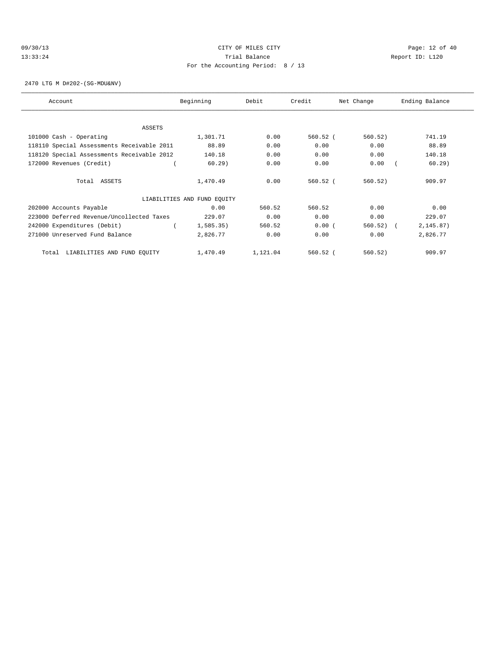# 09/30/13 Page: 12 of 40 13:33:24 Trial Balance Report ID: L120 For the Accounting Period: 8 / 13

2470 LTG M D#202-(SG-MDU&NV)

| Account                                    | Beginning                   | Debit    | Credit     | Net Change   | Ending Balance |
|--------------------------------------------|-----------------------------|----------|------------|--------------|----------------|
|                                            |                             |          |            |              |                |
| ASSETS                                     |                             |          |            |              |                |
| 101000 Cash - Operating                    | 1,301.71                    | 0.00     | $560.52$ ( | 560.52)      | 741.19         |
| 118110 Special Assessments Receivable 2011 | 88.89                       | 0.00     | 0.00       | 0.00         | 88.89          |
| 118120 Special Assessments Receivable 2012 | 140.18                      | 0.00     | 0.00       | 0.00         | 140.18         |
| 172000 Revenues (Credit)                   | $60.29$ )                   | 0.00     | 0.00       | 0.00         | $60.29$ )      |
| Total ASSETS                               | 1,470.49                    | 0.00     | $560.52$ ( | 560.52)      | 909.97         |
|                                            | LIABILITIES AND FUND EQUITY |          |            |              |                |
| 202000 Accounts Payable                    | 0.00                        | 560.52   | 560.52     | 0.00         | 0.00           |
| 223000 Deferred Revenue/Uncollected Taxes  | 229.07                      | 0.00     | 0.00       | 0.00         | 229.07         |
| 242000 Expenditures (Debit)                | 1,585.35)                   | 560.52   | 0.00(      | $560.52$ ) ( | 2, 145.87)     |
| 271000 Unreserved Fund Balance             | 2,826.77                    | 0.00     | 0.00       | 0.00         | 2,826.77       |
| Total LIABILITIES AND FUND EQUITY          | 1,470.49                    | 1,121.04 | $560.52$ ( | 560.52)      | 909.97         |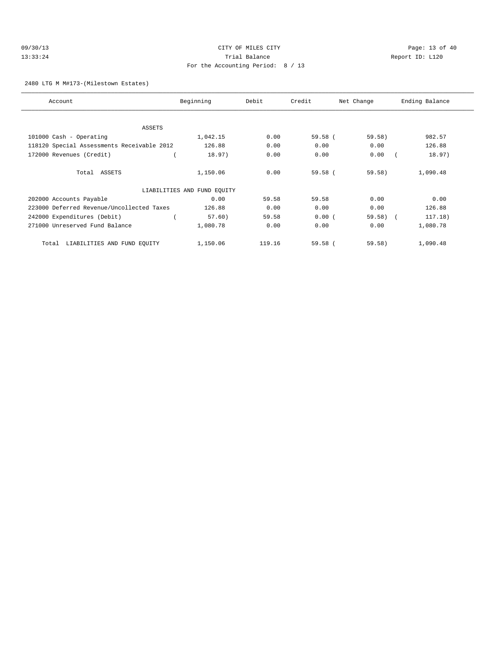# 09/30/13 Page: 13 of 40 13:33:24 Trial Balance Report ID: L120 For the Accounting Period: 8 / 13

### 2480 LTG M M#173-(Milestown Estates)

| Account                                    | Beginning                   | Debit  | Credit    | Net Change | Ending Balance |
|--------------------------------------------|-----------------------------|--------|-----------|------------|----------------|
|                                            |                             |        |           |            |                |
| ASSETS                                     |                             |        |           |            |                |
| 101000 Cash - Operating                    | 1,042.15                    | 0.00   | $59.58$ ( | 59.58)     | 982.57         |
| 118120 Special Assessments Receivable 2012 | 126.88                      | 0.00   | 0.00      | 0.00       | 126.88         |
| 172000 Revenues (Credit)                   | 18.97)                      | 0.00   | 0.00      | 0.00       | 18.97)         |
| Total ASSETS                               | 1,150.06                    | 0.00   | $59.58$ ( | $59.58$ )  | 1,090.48       |
|                                            | LIABILITIES AND FUND EQUITY |        |           |            |                |
| 202000 Accounts Payable                    | 0.00                        | 59.58  | 59.58     | 0.00       | 0.00           |
| 223000 Deferred Revenue/Uncollected Taxes  | 126.88                      | 0.00   | 0.00      | 0.00       | 126.88         |
| 242000 Expenditures (Debit)                | 57.60)                      | 59.58  | 0.00(     | $59.58$ (  | 117.18)        |
| 271000 Unreserved Fund Balance             | 1,080.78                    | 0.00   | 0.00      | 0.00       | 1,080.78       |
| LIABILITIES AND FUND EQUITY<br>Total       | 1,150.06                    | 119.16 | $59.58$ ( | 59.58      | 1,090.48       |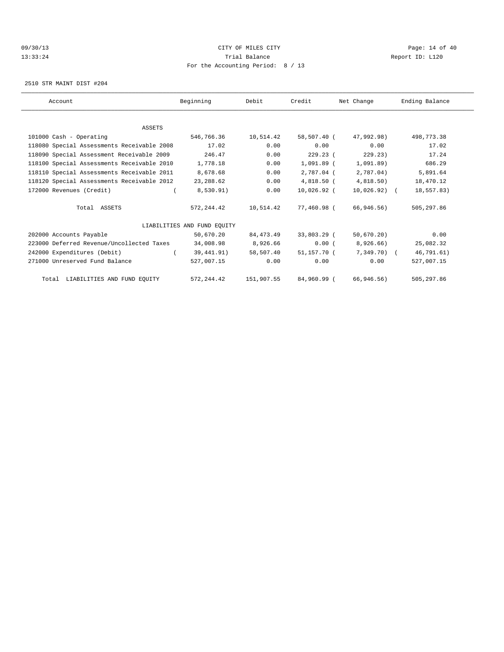### 09/30/13 Page: 14 of 40 13:33:24 Trial Balance Report ID: L120 For the Accounting Period: 8 / 13

2510 STR MAINT DIST #204

| Account                                    | Beginning                   | Debit      | Credit       | Net Change   | Ending Balance |
|--------------------------------------------|-----------------------------|------------|--------------|--------------|----------------|
|                                            |                             |            |              |              |                |
| <b>ASSETS</b>                              |                             |            |              |              |                |
| 101000 Cash - Operating                    | 546,766.36                  | 10,514.42  | 58,507.40 (  | 47,992,98)   | 498,773.38     |
| 118080 Special Assessments Receivable 2008 | 17.02                       | 0.00       | 0.00         | 0.00         | 17.02          |
| 118090 Special Assessment Receivable 2009  | 246.47                      | 0.00       | 229.23(      | 229.23       | 17.24          |
| 118100 Special Assessments Receivable 2010 | 1,778.18                    | 0.00       | 1,091.89 (   | 1,091.89)    | 686.29         |
| 118110 Special Assessments Receivable 2011 | 8,678.68                    | 0.00       | $2.787.04$ ( | 2,787.04)    | 5,891.64       |
| 118120 Special Assessments Receivable 2012 | 23,288.62                   | 0.00       | $4,818.50$ ( | 4,818.50)    | 18,470.12      |
| 172000 Revenues (Credit)                   | 8,530.91)                   | 0.00       | 10,026.92 (  | 10,026.92) ( | 18,557.83)     |
| Total ASSETS                               | 572,244.42                  | 10,514.42  | 77,460.98 (  | 66,946.56)   | 505,297.86     |
|                                            | LIABILITIES AND FUND EOUITY |            |              |              |                |
| 202000 Accounts Payable                    | 50,670.20                   | 84,473.49  | 33,803.29 (  | 50,670.20    | 0.00           |
| 223000 Deferred Revenue/Uncollected Taxes  | 34,008.98                   | 8,926.66   | 0.00(        | 8,926.66)    | 25,082.32      |
| 242000 Expenditures (Debit)                | 39,441.91)                  | 58,507.40  | 51,157.70 (  | $7.349.70$ ( | 46,791.61)     |
| 271000 Unreserved Fund Balance             | 527,007.15                  | 0.00       | 0.00         | 0.00         | 527,007.15     |
| Total LIABILITIES AND FUND EQUITY          | 572,244.42                  | 151,907.55 | 84,960.99 (  | 66,946.56)   | 505,297.86     |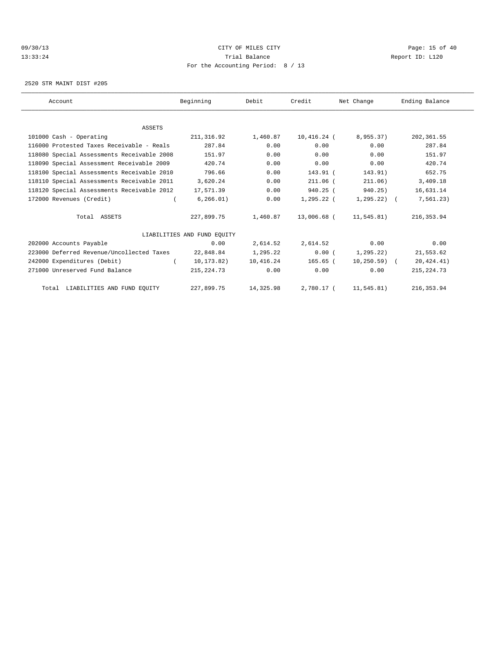### 09/30/13 Page: 15 of 40 13:33:24 Trial Balance Report ID: L120 For the Accounting Period: 8 / 13

2520 STR MAINT DIST #205

| Account                                    | Beginning                   | Debit     | Credit      | Net Change       | Ending Balance |  |
|--------------------------------------------|-----------------------------|-----------|-------------|------------------|----------------|--|
|                                            |                             |           |             |                  |                |  |
| <b>ASSETS</b>                              |                             |           |             |                  |                |  |
| 101000 Cash - Operating                    | 211,316.92                  | 1,460.87  | 10,416.24 ( | 8,955.37)        | 202,361.55     |  |
| 116000 Protested Taxes Receivable - Reals  | 287.84                      | 0.00      | 0.00        | 0.00             | 287.84         |  |
| 118080 Special Assessments Receivable 2008 | 151.97                      | 0.00      | 0.00        | 0.00             | 151.97         |  |
| 118090 Special Assessment Receivable 2009  | 420.74                      | 0.00      | 0.00        | 0.00             | 420.74         |  |
| 118100 Special Assessments Receivable 2010 | 796.66                      | 0.00      | 143.91 (    | 143.91)          | 652.75         |  |
| 118110 Special Assessments Receivable 2011 | 3,620.24                    | 0.00      | $211.06$ (  | 211.06)          | 3,409.18       |  |
| 118120 Special Assessments Receivable 2012 | 17,571.39                   | 0.00      | 940.25 (    | 940.25)          | 16,631.14      |  |
| 172000 Revenues (Credit)                   | 6, 266.01)                  | 0.00      | 1,295.22 (  | $1, 295, 22$ ) ( | 7, 561.23)     |  |
| Total ASSETS                               | 227,899.75                  | 1,460.87  | 13,006.68 ( | 11,545.81)       | 216, 353.94    |  |
|                                            | LIABILITIES AND FUND EOUITY |           |             |                  |                |  |
| 202000 Accounts Payable                    | 0.00                        | 2,614.52  | 2,614.52    | 0.00             | 0.00           |  |
| 223000 Deferred Revenue/Uncollected Taxes  | 22,848.84                   | 1,295.22  | 0.00(       | 1,295.22)        | 21,553.62      |  |
| 242000 Expenditures (Debit)                | 10,173.82)                  | 10,416.24 | $165.65$ (  | $10, 250.59$ (   | 20, 424.41)    |  |
| 271000 Unreserved Fund Balance             | 215, 224. 73                | 0.00      | 0.00        | 0.00             | 215, 224.73    |  |
| Total LIABILITIES AND FUND EQUITY          | 227,899.75                  | 14,325.98 | 2,780.17 (  | 11,545.81)       | 216, 353.94    |  |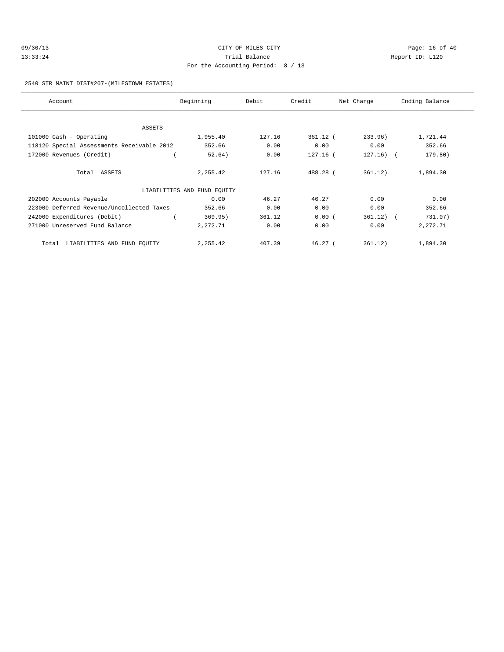| 09/30/13 | CITY OF MILES CITY                | Page: $16o$     |
|----------|-----------------------------------|-----------------|
| 13:33:24 | Trial Balance                     | Report ID: L120 |
|          | For the Accounting Period: 8 / 13 |                 |

Page: 16 of 40

### 2540 STR MAINT DIST#207-(MILESTOWN ESTATES)

| Account                                    | Beginning                   | Debit  | Credit     | Net Change  | Ending Balance |
|--------------------------------------------|-----------------------------|--------|------------|-------------|----------------|
|                                            |                             |        |            |             |                |
| <b>ASSETS</b>                              |                             |        |            |             |                |
| 101000 Cash - Operating                    | 1,955.40                    | 127.16 | $361.12$ ( | 233.96)     | 1,721.44       |
| 118120 Special Assessments Receivable 2012 | 352.66                      | 0.00   | 0.00       | 0.00        | 352.66         |
| 172000 Revenues (Credit)                   | 52.64)                      | 0.00   | $127.16$ ( | $127.16)$ ( | 179.80)        |
| Total ASSETS                               | 2,255.42                    | 127.16 | 488.28 (   | 361.12)     | 1,894.30       |
|                                            | LIABILITIES AND FUND EQUITY |        |            |             |                |
| 202000 Accounts Payable                    | 0.00                        | 46.27  | 46.27      | 0.00        | 0.00           |
| 223000 Deferred Revenue/Uncollected Taxes  | 352.66                      | 0.00   | 0.00       | 0.00        | 352.66         |
| 242000 Expenditures (Debit)                | 369.95)                     | 361.12 | 0.00(      | $361.12)$ ( | 731.07)        |
| 271000 Unreserved Fund Balance             | 2,272.71                    | 0.00   | 0.00       | 0.00        | 2,272.71       |
| LIABILITIES AND FUND EQUITY<br>Total       | 2,255.42                    | 407.39 | $46.27$ (  | 361.12)     | 1,894.30       |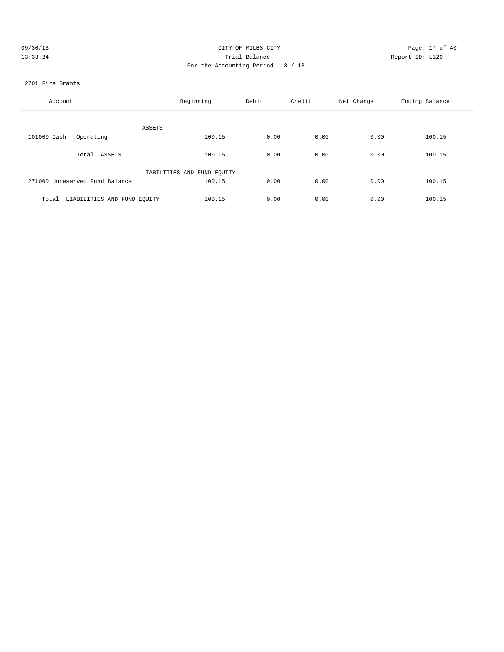| 09/30/13 | CITY OF MILES CITY                | Page: 17 of 40  |
|----------|-----------------------------------|-----------------|
| 13:33:24 | Trial Balance                     | Report ID: L120 |
|          | For the Accounting Period: 8 / 13 |                 |

### 2701 Fire Grants

| Account                              | Beginning                   | Debit | Credit | Net Change | Ending Balance |
|--------------------------------------|-----------------------------|-------|--------|------------|----------------|
| ASSETS                               |                             |       |        |            |                |
| 101000 Cash - Operating              | 100.15                      | 0.00  | 0.00   | 0.00       | 100.15         |
| Total ASSETS                         | 100.15                      | 0.00  | 0.00   | 0.00       | 100.15         |
|                                      | LIABILITIES AND FUND EQUITY |       |        |            |                |
| 271000 Unreserved Fund Balance       | 100.15                      | 0.00  | 0.00   | 0.00       | 100.15         |
| LIABILITIES AND FUND EOUITY<br>Total | 100.15                      | 0.00  | 0.00   | 0.00       | 100.15         |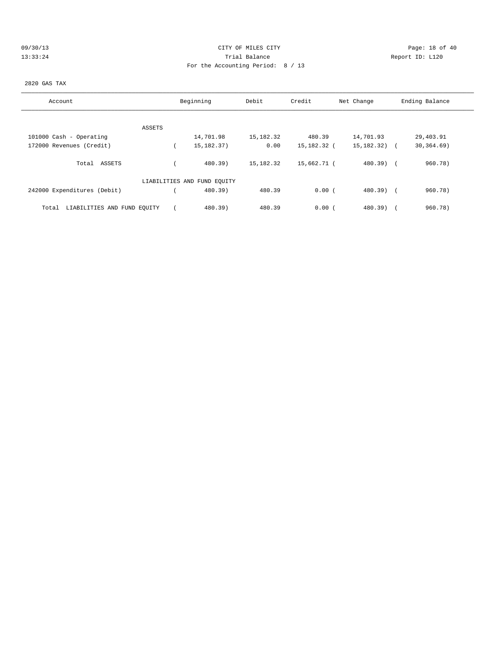|  |  |  | 09/30/13 |  |
|--|--|--|----------|--|
|  |  |  | 13:33:24 |  |

# CITY OF MILES CITY CONTROL CONTROL CONTROL CONTROL CITY 13:33:24 Trial Balance Report ID: L120 For the Accounting Period: 8 / 13

### 2820 GAS TAX

| Account                              | Beginning                   | Debit       | Credit      | Net Change       | Ending Balance |
|--------------------------------------|-----------------------------|-------------|-------------|------------------|----------------|
|                                      |                             |             |             |                  |                |
| ASSETS                               |                             |             |             |                  |                |
| 101000 Cash - Operating              | 14,701.98                   | 15,182.32   | 480.39      | 14,701.93        | 29,403.91      |
| 172000 Revenues (Credit)             | 15, 182. 37)                | 0.00        | 15,182.32 ( | $15, 182, 32)$ ( | 30, 364.69)    |
| Total ASSETS                         | 480.39)                     | 15, 182. 32 | 15,662.71 ( | $480.39$ $($     | 960.78)        |
|                                      | LIABILITIES AND FUND EQUITY |             |             |                  |                |
| 242000 Expenditures (Debit)          | 480.39)                     | 480.39      | 0.00(       | $480.39$ $($     | 960.78)        |
| LIABILITIES AND FUND EQUITY<br>Total | 480.39)                     | 480.39      | 0.00(       | $480.39$ )       | 960.78)        |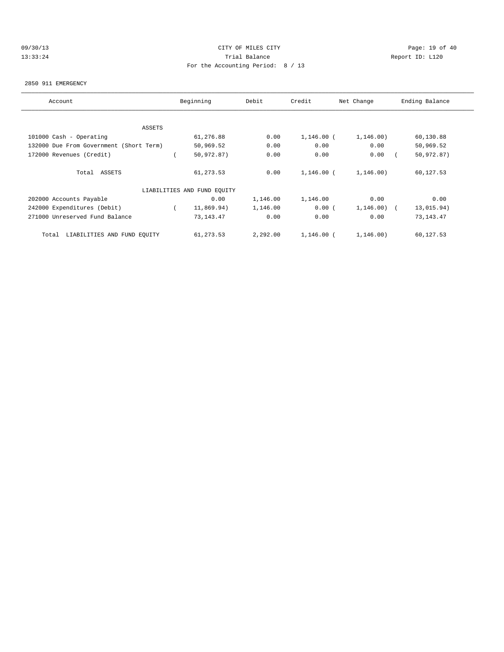# 09/30/13 Page: 19 of 40 13:33:24 Trial Balance Report ID: L120 For the Accounting Period: 8 / 13

### 2850 911 EMERGENCY

| Account                                 | Beginning                   | Debit    | Credit       | Net Change   | Ending Balance |
|-----------------------------------------|-----------------------------|----------|--------------|--------------|----------------|
|                                         |                             |          |              |              |                |
| ASSETS                                  |                             |          |              |              |                |
| 101000 Cash - Operating                 | 61,276.88                   | 0.00     | $1,146.00$ ( | 1, 146.00)   | 60,130.88      |
| 132000 Due From Government (Short Term) | 50,969.52                   | 0.00     | 0.00         | 0.00         | 50,969.52      |
| 172000 Revenues (Credit)                | 50,972.87)                  | 0.00     | 0.00         | 0.00         | 50,972.87)     |
| Total ASSETS                            | 61, 273.53                  | 0.00     | 1,146.00 (   | 1, 146.00)   | 60,127.53      |
|                                         | LIABILITIES AND FUND EQUITY |          |              |              |                |
| 202000 Accounts Payable                 | 0.00                        | 1,146.00 | 1,146.00     | 0.00         | 0.00           |
| 242000 Expenditures (Debit)             | 11,869.94)                  | 1,146.00 | 0.00(        | $1,146.00$ ( | 13,015.94)     |
| 271000 Unreserved Fund Balance          | 73,143.47                   | 0.00     | 0.00         | 0.00         | 73, 143. 47    |
| LIABILITIES AND FUND EQUITY<br>Total    | 61,273.53                   | 2,292.00 | $1.146.00$ ( | 1, 146.00)   | 60,127.53      |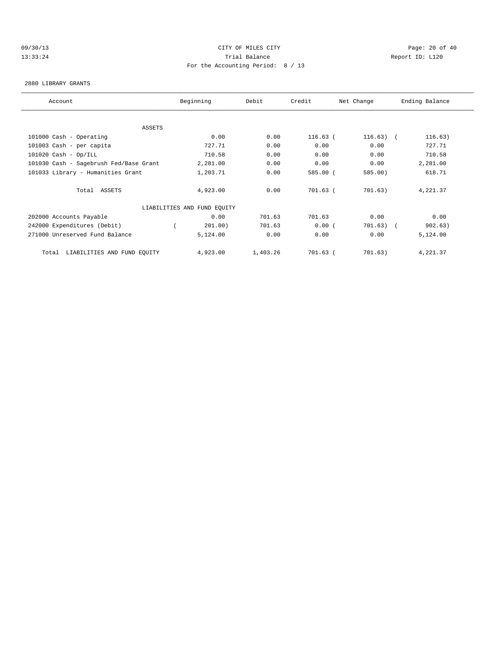# 09/30/13 Page: 20 of 40 13:33:24 Trial Balance Report ID: L120 For the Accounting Period: 8 / 13

#### 2880 LIBRARY GRANTS

| Account                                | Beginning                   | Debit    | Credit     | Net Change  | Ending Balance |
|----------------------------------------|-----------------------------|----------|------------|-------------|----------------|
|                                        |                             |          |            |             |                |
| ASSETS                                 |                             |          |            |             |                |
| 101000 Cash - Operating                | 0.00                        | 0.00     | $116.63$ ( | $116.63)$ ( | 116.63)        |
| 101003 Cash - per capita               | 727.71                      | 0.00     | 0.00       | 0.00        | 727.71         |
| $101020$ Cash - Op/ILL                 | 710.58                      | 0.00     | 0.00       | 0.00        | 710.58         |
| 101030 Cash - Sagebrush Fed/Base Grant | 2,281.00                    | 0.00     | 0.00       | 0.00        | 2,281.00       |
| 101033 Library - Humanities Grant      | 1,203.71                    | 0.00     | 585.00 (   | 585.00)     | 618.71         |
| Total ASSETS                           | 4,923.00                    | 0.00     | 701.63 (   | 701.63)     | 4,221.37       |
|                                        | LIABILITIES AND FUND EQUITY |          |            |             |                |
| 202000 Accounts Payable                | 0.00                        | 701.63   | 701.63     | 0.00        | 0.00           |
| 242000 Expenditures (Debit)            | 201.00)                     | 701.63   | 0.00(      | $701.63)$ ( | 902.63)        |
| 271000 Unreserved Fund Balance         | 5,124.00                    | 0.00     | 0.00       | 0.00        | 5,124.00       |
| LIABILITIES AND FUND EQUITY<br>Total   | 4,923.00                    | 1,403.26 | 701.63 (   | 701.63)     | 4,221.37       |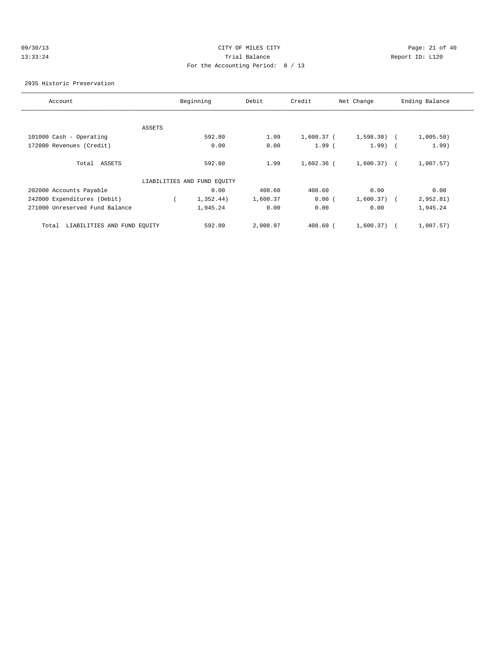# 09/30/13 Page: 21 of 40 13:33:24 Trial Balance Report ID: L120 For the Accounting Period: 8 / 13

2935 Historic Preservation

| Account                              |        | Beginning                   | Debit    | Credit       | Net Change     | Ending Balance |
|--------------------------------------|--------|-----------------------------|----------|--------------|----------------|----------------|
|                                      |        |                             |          |              |                |                |
|                                      | ASSETS |                             |          |              |                |                |
| 101000 Cash - Operating              |        | 592.80                      | 1.99     | $1,600.37$ ( | $1,598.38$ ) ( | 1,005.58)      |
| 172000 Revenues (Credit)             |        | 0.00                        | 0.00     | $1.99$ (     | $1.99)$ (      | 1.99)          |
| Total ASSETS                         |        | 592.80                      | 1.99     | 1,602.36 (   | $1,600.37$ (   | 1,007.57)      |
|                                      |        | LIABILITIES AND FUND EQUITY |          |              |                |                |
| 202000 Accounts Payable              |        | 0.00                        | 408.60   | 408.60       | 0.00           | 0.00           |
| 242000 Expenditures (Debit)          |        | 1,352.44)                   | 1,600.37 | 0.00(        | $1,600.37$ (   | 2,952.81)      |
| 271000 Unreserved Fund Balance       |        | 1,945.24                    | 0.00     | 0.00         | 0.00           | 1,945.24       |
| LIABILITIES AND FUND EQUITY<br>Total |        | 592.80                      | 2,008.97 | $408.60$ (   | 1,600.37)      | 1,007.57)      |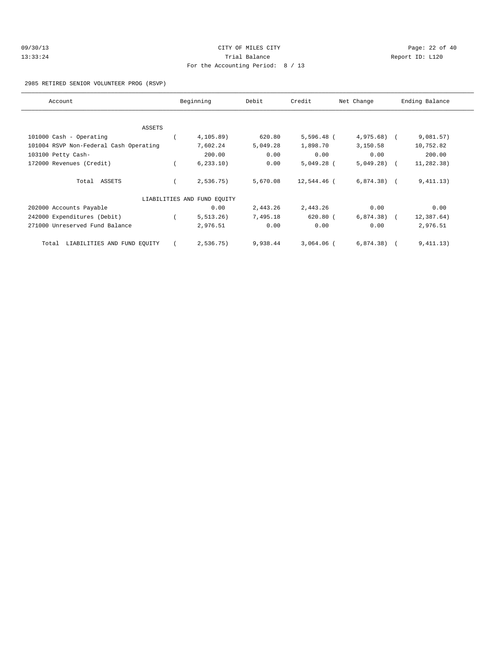| 09/30/13 | CITY OF MILES CITY                | Page: $22$ of $40$ |
|----------|-----------------------------------|--------------------|
| 13:33:24 | Trial Balance                     | Report ID: L120    |
|          | For the Accounting Period: 8 / 13 |                    |

### 2985 RETIRED SENIOR VOLUNTEER PROG (RSVP)

| Account                                | Beginning                   | Debit    | Credit       | Net Change   | Ending Balance |  |
|----------------------------------------|-----------------------------|----------|--------------|--------------|----------------|--|
|                                        |                             |          |              |              |                |  |
| ASSETS                                 |                             |          |              |              |                |  |
| 101000 Cash - Operating                | $4, 105.89$ )               | 620.80   | $5,596.48$ ( | $4,975.68$ ( | 9,081.57)      |  |
| 101004 RSVP Non-Federal Cash Operating | 7,602.24                    | 5,049.28 | 1,898.70     | 3,150.58     | 10,752.82      |  |
| 103100 Petty Cash-                     | 200.00                      | 0.00     | 0.00         | 0.00         | 200.00         |  |
| 172000 Revenues (Credit)               | 6, 233.10                   | 0.00     | $5,049.28$ ( | $5,049.28$ ( | 11,282.38)     |  |
| Total ASSETS                           | 2,536.75)                   | 5,670.08 | 12,544.46 (  | $6,874.38$ ( | 9,411.13)      |  |
|                                        | LIABILITIES AND FUND EQUITY |          |              |              |                |  |
| 202000 Accounts Payable                | 0.00                        | 2,443.26 | 2,443.26     | 0.00         | 0.00           |  |
| 242000 Expenditures (Debit)            | 5, 513.26)                  | 7,495.18 | $620.80$ (   | $6,874.38$ ( | 12,387.64)     |  |
| 271000 Unreserved Fund Balance         | 2,976.51                    | 0.00     | 0.00         | 0.00         | 2,976.51       |  |
| LIABILITIES AND FUND EQUITY<br>Total   | 2,536.75)                   | 9,938.44 | $3,064.06$ ( | $6,874.38$ ( | 9,411.13)      |  |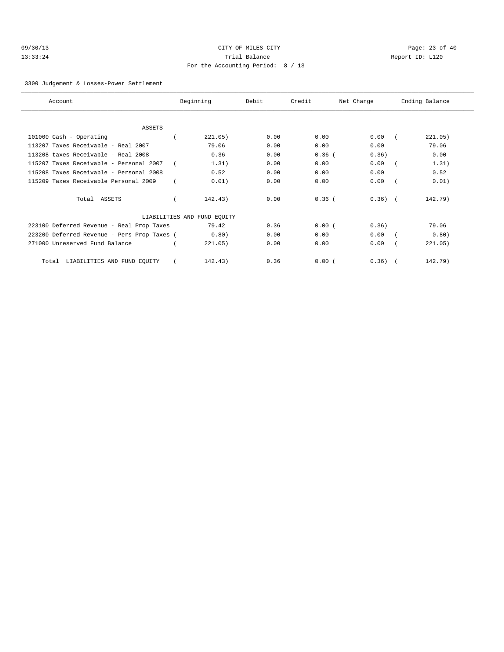| 09/30/13 | CITY OF MILES CITY                | Page: 23 of 40  |
|----------|-----------------------------------|-----------------|
| 13:33:24 | Trial Balance                     | Report ID: L120 |
|          | For the Accounting Period: 8 / 13 |                 |
|          |                                   |                 |

3300 Judgement & Losses-Power Settlement

| Account                                     | Beginning                   | Debit | Credit   | Net Change | Ending Balance |
|---------------------------------------------|-----------------------------|-------|----------|------------|----------------|
|                                             |                             |       |          |            |                |
| <b>ASSETS</b>                               |                             |       |          |            |                |
| 101000 Cash - Operating                     | 221.05)                     | 0.00  | 0.00     | 0.00       | 221.05)        |
| 113207 Taxes Receivable - Real 2007         | 79.06                       | 0.00  | 0.00     | 0.00       | 79.06          |
| 113208 taxes Receivable - Real 2008         | 0.36                        | 0.00  | $0.36$ ( | 0.36)      | 0.00           |
| 115207 Taxes Receivable - Personal 2007     | 1.31)                       | 0.00  | 0.00     | 0.00       | 1.31)          |
| 115208 Taxes Receivable - Personal 2008     | 0.52                        | 0.00  | 0.00     | 0.00       | 0.52           |
| 115209 Taxes Receivable Personal 2009       | 0.01)                       | 0.00  | 0.00     | 0.00       | 0.01)          |
| Total ASSETS                                | 142.43)                     | 0.00  | $0.36$ ( | $0.36)$ (  | 142.79)        |
|                                             | LIABILITIES AND FUND EQUITY |       |          |            |                |
| 223100 Deferred Revenue - Real Prop Taxes   | 79.42                       | 0.36  | 0.00(    | 0.36)      | 79.06          |
| 223200 Deferred Revenue - Pers Prop Taxes ( | 0.80)                       | 0.00  | 0.00     | 0.00       | 0.80)          |
| 271000 Unreserved Fund Balance              | 221.05)                     | 0.00  | 0.00     | 0.00       | 221.05)        |
| Total LIABILITIES AND FUND EQUITY           | 142.43)                     | 0.36  | 0.00(    | $0.36)$ (  | 142.79)        |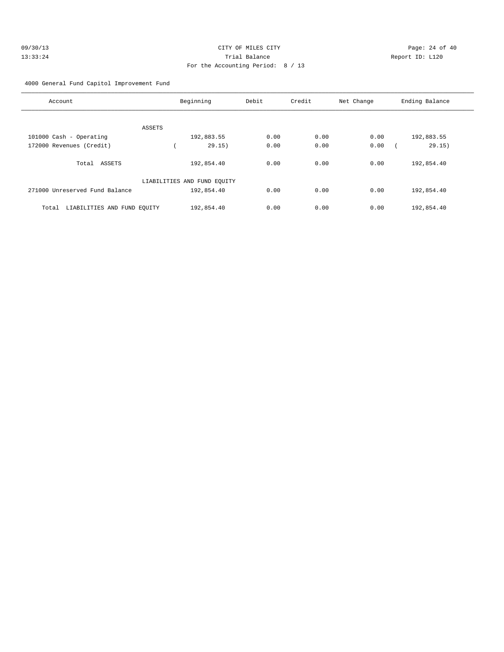| 09/30/13 | CITY OF MILES CITY                | Page: $24o$     |
|----------|-----------------------------------|-----------------|
| 13:33:24 | Trial Balance                     | Report ID: L120 |
|          | For the Accounting Period: 8 / 13 |                 |

Page: 24 of 40

4000 General Fund Capitol Improvement Fund

| Account                              | Beginning                   | Debit | Credit | Net Change | Ending Balance |
|--------------------------------------|-----------------------------|-------|--------|------------|----------------|
|                                      |                             |       |        |            |                |
|                                      |                             |       |        |            |                |
| ASSETS                               |                             |       |        |            |                |
| 101000 Cash - Operating              | 192,883.55                  | 0.00  | 0.00   | 0.00       | 192,883.55     |
| 172000 Revenues (Credit)             | 29.15)                      | 0.00  | 0.00   | 0.00       | 29.15)         |
|                                      |                             |       |        |            |                |
| Total ASSETS                         | 192,854.40                  | 0.00  | 0.00   | 0.00       | 192,854.40     |
|                                      |                             |       |        |            |                |
|                                      | LIABILITIES AND FUND EQUITY |       |        |            |                |
| 271000 Unreserved Fund Balance       | 192,854.40                  | 0.00  | 0.00   | 0.00       | 192,854.40     |
|                                      |                             |       |        |            |                |
| LIABILITIES AND FUND EQUITY<br>Total | 192,854.40                  | 0.00  | 0.00   | 0.00       | 192,854.40     |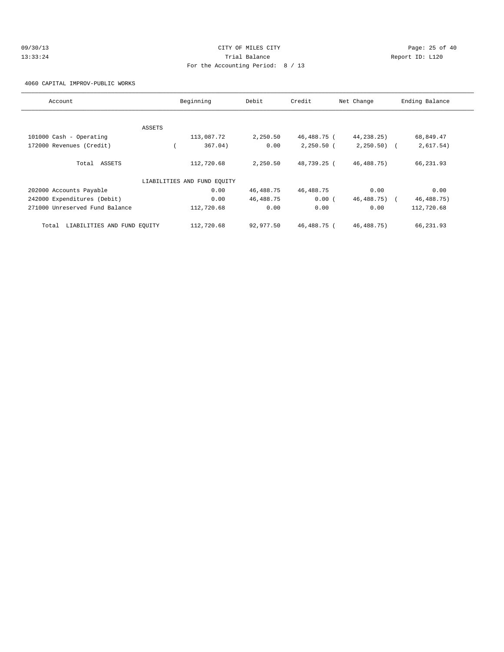# 09/30/13 Page: 25 of 40 13:33:24 Trial Balance Report ID: L120 For the Accounting Period: 8 / 13

4060 CAPITAL IMPROV-PUBLIC WORKS

| Account                              | Beginning                   | Debit                   | Credit       | Net Change    | Ending Balance |
|--------------------------------------|-----------------------------|-------------------------|--------------|---------------|----------------|
|                                      |                             |                         |              |               |                |
|                                      | ASSETS                      |                         |              |               |                |
| 101000 Cash - Operating              |                             | 113,087.72<br>2,250.50  | 46,488.75 (  | 44,238.25)    | 68,849.47      |
| 172000 Revenues (Credit)             |                             | 367.04)<br>0.00         | $2,250.50$ ( | $2,250.50)$ ( | 2,617.54)      |
| Total ASSETS                         |                             | 112,720.68<br>2,250.50  | 48,739.25 (  | 46,488.75)    | 66,231.93      |
|                                      | LIABILITIES AND FUND EQUITY |                         |              |               |                |
| 202000 Accounts Payable              |                             | 0.00<br>46,488.75       | 46,488.75    | 0.00          | 0.00           |
| 242000 Expenditures (Debit)          |                             | 46,488.75<br>0.00       | 0.00(        | 46,488.75) (  | 46, 488. 75)   |
| 271000 Unreserved Fund Balance       |                             | 112,720.68<br>0.00      | 0.00         | 0.00          | 112,720.68     |
| LIABILITIES AND FUND EQUITY<br>Total |                             | 112,720.68<br>92,977.50 | 46,488.75 (  | 46,488.75)    | 66,231.93      |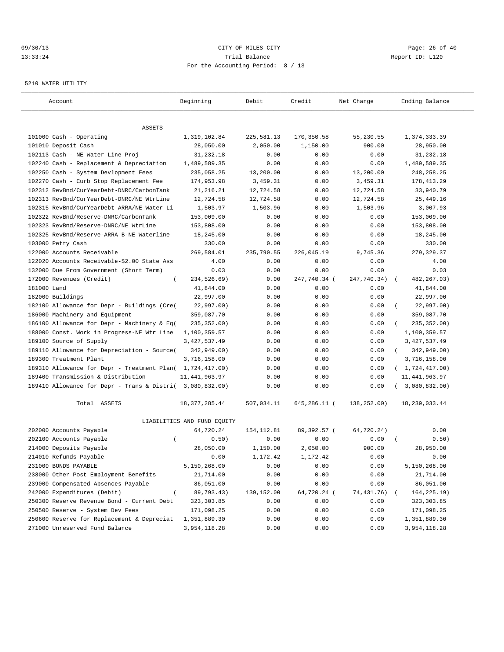# 09/30/13 Page: 26 of 40 13:33:24 Trial Balance Report ID: L120 For the Accounting Period: 8 / 13

#### 5210 WATER UTILITY

| Account                                                   | Beginning                   | Debit       | Credit       | Net Change  | Ending Balance             |
|-----------------------------------------------------------|-----------------------------|-------------|--------------|-------------|----------------------------|
|                                                           |                             |             |              |             |                            |
| ASSETS                                                    |                             |             |              |             |                            |
| 101000 Cash - Operating                                   | 1,319,102.84                | 225,581.13  | 170,350.58   | 55,230.55   | 1,374,333.39               |
| 101010 Deposit Cash                                       | 28,050.00                   | 2,050.00    | 1,150.00     | 900.00      | 28,950.00                  |
| 102113 Cash - NE Water Line Proj                          | 31,232.18                   | 0.00        | 0.00         | 0.00        | 31,232.18                  |
| 102240 Cash - Replacement & Depreciation                  | 1,489,589.35                | 0.00        | 0.00         | 0.00        | 1,489,589.35               |
| 102250 Cash - System Devlopment Fees                      | 235,058.25                  | 13,200.00   | 0.00         | 13,200.00   | 248, 258. 25               |
| 102270 Cash - Curb Stop Replacement Fee                   | 174,953.98                  | 3,459.31    | 0.00         | 3,459.31    | 178, 413.29                |
| 102312 RevBnd/CurYearDebt-DNRC/CarbonTank                 | 21, 216. 21                 | 12,724.58   | 0.00         | 12,724.58   | 33,940.79                  |
| 102313 RevBnd/CurYearDebt-DNRC/NE WtrLine                 | 12,724.58                   | 12,724.58   | 0.00         | 12,724.58   | 25, 449.16                 |
| 102315 RevBnd/CurYearDebt-ARRA/NE Water Li                | 1,503.97                    | 1,503.96    | 0.00         | 1,503.96    | 3,007.93                   |
| 102322 RevBnd/Reserve-DNRC/CarbonTank                     | 153,009.00                  | 0.00        | 0.00         | 0.00        | 153,009.00                 |
| 102323 RevBnd/Reserve-DNRC/NE WtrLine                     | 153,808.00                  | 0.00        | 0.00         | 0.00        | 153,808.00                 |
| 102325 RevBnd/Reserve-ARRA B-NE Waterline                 | 18,245.00                   | 0.00        | 0.00         | 0.00        | 18,245.00                  |
| 103000 Petty Cash                                         | 330.00                      | 0.00        | 0.00         | 0.00        | 330.00                     |
| 122000 Accounts Receivable                                | 269,584.01                  | 235,790.55  | 226,045.19   | 9,745.36    | 279, 329.37                |
| 122020 Accounts Receivable-\$2.00 State Ass               | 4.00                        | 0.00        | 0.00         | 0.00        | 4.00                       |
| 132000 Due From Government (Short Term)                   | 0.03                        | 0.00        | 0.00         | 0.00        | 0.03                       |
| 172000 Revenues (Credit)<br>$\left($                      | 234,526.69)                 | 0.00        | 247,740.34 ( | 247,740.34) | 482, 267.03)<br>$\sqrt{2}$ |
| 181000 Land                                               | 41,844.00                   | 0.00        | 0.00         | 0.00        | 41,844.00                  |
| 182000 Buildings                                          | 22,997.00                   | 0.00        | 0.00         | 0.00        | 22,997.00                  |
| 182100 Allowance for Depr - Buildings (Cre(               | 22,997.00)                  | 0.00        | 0.00         | 0.00        | 22,997.00)                 |
| 186000 Machinery and Equipment                            | 359,087.70                  | 0.00        | 0.00         | 0.00        | 359,087.70                 |
| 186100 Allowance for Depr - Machinery & Eq(               | 235, 352.00)                | 0.00        | 0.00         | 0.00        | 235, 352.00)               |
| 188000 Const. Work in Progress-NE Wtr Line                | 1,100,359.57                | 0.00        | 0.00         | 0.00        | 1,100,359.57               |
| 189100 Source of Supply                                   | 3, 427, 537.49              | 0.00        | 0.00         | 0.00        | 3, 427, 537.49             |
| 189110 Allowance for Depreciation - Source(               | 342,949.00)                 | 0.00        | 0.00         | 0.00        | 342,949.00)<br>$\left($    |
| 189300 Treatment Plant                                    | 3,716,158.00                | 0.00        | 0.00         | 0.00        | 3,716,158.00               |
| 189310 Allowance for Depr - Treatment Plan( 1,724,417.00) |                             | 0.00        | 0.00         | 0.00        | (1, 724, 417.00)           |
| 189400 Transmission & Distribution                        | 11, 441, 963.97             | 0.00        | 0.00         | 0.00        | 11, 441, 963.97            |
| 189410 Allowance for Depr - Trans & Distri( 3,080,832.00) |                             | 0.00        | 0.00         | 0.00        | 3,080,832.00)              |
| Total ASSETS                                              | 18, 377, 285.44             | 507,034.11  | 645,286.11 ( | 138,252.00) | 18, 239, 033.44            |
|                                                           | LIABILITIES AND FUND EQUITY |             |              |             |                            |
| 202000 Accounts Payable                                   | 64,720.24                   | 154, 112.81 | 89,392.57 (  | 64,720.24)  | 0.00                       |
| 202100 Accounts Payable<br>$\overline{ }$                 | 0.50)                       | 0.00        | 0.00         | 0.00        | 0.50)                      |
| 214000 Deposits Payable                                   | 28,050.00                   | 1,150.00    | 2,050.00     | 900.00      | 28,950.00                  |
| 214010 Refunds Payable                                    | 0.00                        | 1,172.42    | 1,172.42     | 0.00        | 0.00                       |
| 231000 BONDS PAYABLE                                      | 5,150,268.00                | 0.00        | 0.00         | 0.00        | 5,150,268.00               |
| 238000 Other Post Employment Benefits                     | 21,714.00                   | 0.00        | 0.00         | 0.00        | 21,714.00                  |
| 239000 Compensated Absences Payable                       | 86,051.00                   | 0.00        | 0.00         | 0.00        | 86,051.00                  |
| 242000 Expenditures (Debit)<br>$\left($                   | 89,793.43)                  | 139,152.00  | 64,720.24 (  | 74,431.76)  | 164, 225. 19)              |
| 250300 Reserve Revenue Bond - Current Debt                | 323, 303.85                 | 0.00        | 0.00         | 0.00        | 323,303.85                 |
| 250500 Reserve - System Dev Fees                          | 171,098.25                  | 0.00        | 0.00         | 0.00        | 171,098.25                 |
| 250600 Reserve for Replacement & Depreciat                | 1,351,889.30                | 0.00        | 0.00         | 0.00        | 1,351,889.30               |
| 271000 Unreserved Fund Balance                            | 3,954,118.28                | 0.00        | 0.00         | 0.00        | 3,954,118.28               |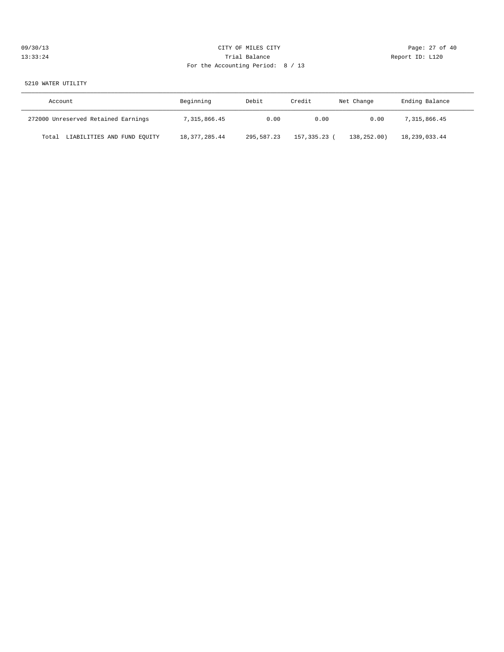| CITY OF MILES CITY                | Page: 27 of 40  |
|-----------------------------------|-----------------|
| Trial Balance                     | Report ID: L120 |
| For the Accounting Period: 8 / 13 |                 |
|                                   |                 |

### 5210 WATER UTILITY

| Account                              | Beginning     | Debit      | Credit         | Net Change  | Ending Balance |
|--------------------------------------|---------------|------------|----------------|-------------|----------------|
| 272000 Unreserved Retained Earnings  | 7,315,866.45  | 0.00       | 0.00           | 0.00        | 7,315,866.45   |
| LIABILITIES AND FUND EQUITY<br>Total | 18,377,285.44 | 295,587.23 | 157, 335, 23 ( | 138,252.00) | 18,239,033.44  |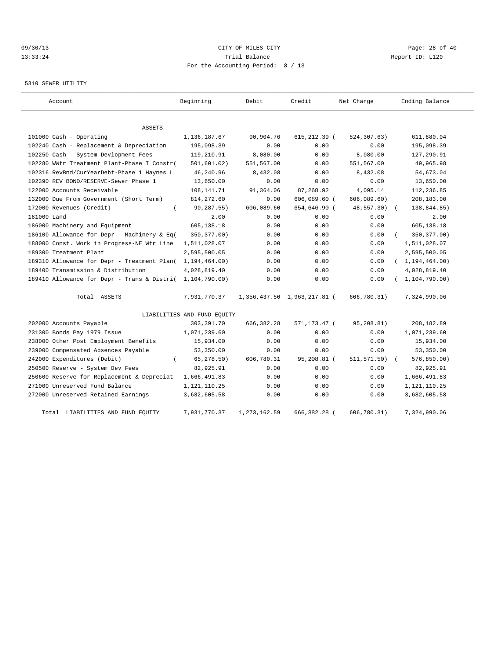# 09/30/13 Page: 28 of 40 13:33:24 Trial Balance Report ID: L120 For the Accounting Period: 8 / 13

### 5310 SEWER UTILITY

| Account                                     | Beginning                   | Debit          | Credit                      | Net Change   | Ending Balance   |
|---------------------------------------------|-----------------------------|----------------|-----------------------------|--------------|------------------|
| <b>ASSETS</b>                               |                             |                |                             |              |                  |
| 101000 Cash - Operating                     | 1,136,187.67                | 90,904.76      | 615,212.39 (                | 524,307.63)  | 611,880.04       |
| 102240 Cash - Replacement & Depreciation    | 195,098.39                  | 0.00           | 0.00                        | 0.00         | 195,098.39       |
| 102250 Cash - System Devlopment Fees        | 119,210.91                  | 8,080.00       | 0.00                        | 8,080.00     | 127,290.91       |
| 102280 WWtr Treatment Plant-Phase I Constr( | 501, 601.02)                | 551,567.00     | 0.00                        | 551,567.00   | 49,965.98        |
| 102316 RevBnd/CurYearDebt-Phase 1 Haynes L  | 46,240.96                   | 8,432.08       | 0.00                        | 8,432.08     | 54,673.04        |
| 102390 REV BOND/RESERVE-Sewer Phase 1       | 13,650.00                   | 0.00           | 0.00                        | 0.00         | 13,650.00        |
| 122000 Accounts Receivable                  | 108,141.71                  | 91,364.06      | 87,268.92                   | 4,095.14     | 112,236.85       |
| 132000 Due From Government (Short Term)     | 814,272.60                  | 0.00           | $606,089.60$ (              | 606,089.60)  | 208,183.00       |
| 172000 Revenues (Credit)                    | 90,287.55)                  | 606,089.60     | 654,646.90 (                | 48,557.30)   | 138,844.85)      |
| 181000 Land                                 | 2.00                        | 0.00           | 0.00                        | 0.00         | 2.00             |
| 186000 Machinery and Equipment              | 605,138.18                  | 0.00           | 0.00                        | 0.00         | 605,138.18       |
| 186100 Allowance for Depr - Machinery & Eq( | 350, 377.00)                | 0.00           | 0.00                        | 0.00         | 350, 377.00)     |
| 188000 Const. Work in Progress-NE Wtr Line  | 1,511,028.07                | 0.00           | 0.00                        | 0.00         | 1,511,028.07     |
| 189300 Treatment Plant                      | 2,595,500.05                | 0.00           | 0.00                        | 0.00         | 2,595,500.05     |
| 189310 Allowance for Depr - Treatment Plan( | 1, 194, 464.00)             | 0.00           | 0.00                        | 0.00         | (1, 194, 464.00) |
| 189400 Transmission & Distribution          | 4,028,819.40                | 0.00           | 0.00                        | 0.00         | 4,028,819.40     |
| 189410 Allowance for Depr - Trans & Distri( | 1,104,790.00)               | 0.00           | 0.00                        | 0.00         | 1, 104, 790.00)  |
| Total ASSETS                                | 7,931,770.37                |                | 1,356,437.50 1,963,217.81 ( | 606, 780.31) | 7,324,990.06     |
|                                             | LIABILITIES AND FUND EQUITY |                |                             |              |                  |
| 202000 Accounts Payable                     | 303, 391.70                 | 666, 382.28    | 571,173.47 (                | 95,208.81)   | 208,182.89       |
| 231300 Bonds Pay 1979 Issue                 | 1,071,239.60                | 0.00           | 0.00                        | 0.00         | 1,071,239.60     |
| 238000 Other Post Employment Benefits       | 15,934.00                   | 0.00           | 0.00                        | 0.00         | 15,934.00        |
| 239000 Compensated Absences Payable         | 53,350.00                   | 0.00           | 0.00                        | 0.00         | 53,350.00        |
| 242000 Expenditures (Debit)                 | 65, 278.50)                 | 606,780.31     | 95,208.81 (                 | 511, 571.50) | 576, 850.00      |
| 250500 Reserve - System Dev Fees            | 82,925.91                   | 0.00           | 0.00                        | 0.00         | 82,925.91        |
| 250600 Reserve for Replacement & Depreciat  | 1,666,491.83                | 0.00           | 0.00                        | 0.00         | 1,666,491.83     |
| 271000 Unreserved Fund Balance              | 1,121,110.25                | 0.00           | 0.00                        | 0.00         | 1, 121, 110. 25  |
| 272000 Unreserved Retained Earnings         | 3,682,605.58                | 0.00           | 0.00                        | 0.00         | 3,682,605.58     |
| Total LIABILITIES AND FUND EQUITY           | 7,931,770.37                | 1, 273, 162.59 | 666, 382. 28 (              | 606, 780.31) | 7,324,990.06     |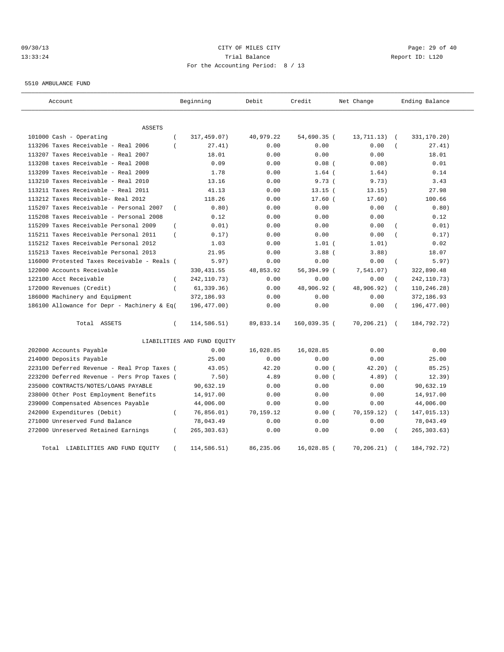# 09/30/13 Page: 29 of 40 13:33:24 Trial Balance Report ID: L120 For the Accounting Period: 8 / 13

5510 AMBULANCE FUND

| Account                                                   | Beginning                   | Debit     | Credit       | Net Change  | Ending Balance            |
|-----------------------------------------------------------|-----------------------------|-----------|--------------|-------------|---------------------------|
| ASSETS                                                    |                             |           |              |             |                           |
| 101000 Cash - Operating<br>$\overline{ }$                 | 317,459.07)                 | 40,979.22 | 54,690.35 (  | 13,711.13)  | 331,170.20)<br>$\sqrt{2}$ |
| 113206 Taxes Receivable - Real 2006<br>$\overline{ }$     | 27.41)                      | 0.00      | 0.00         | 0.00        | 27.41)                    |
| 113207 Taxes Receivable - Real 2007                       | 18.01                       | 0.00      | 0.00         | 0.00        | 18.01                     |
| 113208 taxes Receivable - Real 2008                       | 0.09                        | 0.00      | $0.08$ (     | 0.08)       | 0.01                      |
| 113209 Taxes Receivable - Real 2009                       | 1.78                        | 0.00      | $1.64$ (     | 1.64)       | 0.14                      |
| 113210 Taxes Receivable - Real 2010                       | 13.16                       | 0.00      | 9.73(        | 9.73)       | 3.43                      |
| 113211 Taxes Receivable - Real 2011                       | 41.13                       | 0.00      | $13.15$ (    | 13.15)      | 27.98                     |
| 113212 Taxes Receivable- Real 2012                        | 118.26                      | 0.00      | $17.60$ (    | 17.60)      | 100.66                    |
| 115207 Taxes Receivable - Personal 2007<br>$\overline{ }$ | 0.80)                       | 0.00      | 0.00         | 0.00        | 0.80)                     |
| 115208 Taxes Receivable - Personal 2008                   | 0.12                        | 0.00      | 0.00         | 0.00        | 0.12                      |
| 115209 Taxes Receivable Personal 2009<br>$\left($         | 0.01)                       | 0.00      | 0.00         | 0.00        | 0.01)                     |
| 115211 Taxes Receivable Personal 2011<br>$\left($         | 0.17)                       | 0.00      | 0.00         | 0.00        | 0.17)<br>$\overline{ }$   |
| 115212 Taxes Receivable Personal 2012                     | 1.03                        | 0.00      | $1.01$ (     | 1.01)       | 0.02                      |
| 115213 Taxes Receivable Personal 2013                     | 21.95                       | 0.00      | $3.88$ (     | 3.88)       | 18.07                     |
| 116000 Protested Taxes Receivable - Reals (               | 5.97)                       | 0.00      | 0.00         | 0.00        | 5.97)                     |
| 122000 Accounts Receivable                                | 330, 431.55                 | 48,853.92 | 56,394.99 (  | 7,541.07)   | 322,890.48                |
| 122100 Acct Receivable<br>$\left($                        | 242, 110.73)                | 0.00      | 0.00         | 0.00        | 242, 110.73)              |
| 172000 Revenues (Credit)<br>$\left($                      | 61, 339.36)                 | 0.00      | 48,906.92 (  | 48,906.92)  | 110,246.28)               |
| 186000 Machinery and Equipment                            | 372,186.93                  | 0.00      | 0.00         | 0.00        | 372,186.93                |
| 186100 Allowance for Depr - Machinery & Eq(               | 196,477.00)                 | 0.00      | 0.00         | 0.00        | 196, 477.00)<br>$\left($  |
| Total ASSETS<br>$\left($                                  | 114,586.51)                 | 89,833.14 | 160,039.35 ( | 70, 206.21) | 184,792.72)<br>$\sqrt{2}$ |
|                                                           | LIABILITIES AND FUND EQUITY |           |              |             |                           |
| 202000 Accounts Payable                                   | 0.00                        | 16,028.85 | 16,028.85    | 0.00        | 0.00                      |
| 214000 Deposits Payable                                   | 25.00                       | 0.00      | 0.00         | 0.00        | 25.00                     |
| 223100 Deferred Revenue - Real Prop Taxes (               | 43.05)                      | 42.20     | 0.00(        | 42.20)      | 85.25)                    |
| 223200 Deferred Revenue - Pers Prop Taxes (               | 7.50)                       | 4.89      | 0.00(        | 4.89)       | 12.39)                    |
| 235000 CONTRACTS/NOTES/LOANS PAYABLE                      | 90,632.19                   | 0.00      | 0.00         | 0.00        | 90,632.19                 |
| 238000 Other Post Employment Benefits                     | 14,917.00                   | 0.00      | 0.00         | 0.00        | 14,917.00                 |
| 239000 Compensated Absences Payable                       | 44,006.00                   | 0.00      | 0.00         | 0.00        | 44,006.00                 |
| 242000 Expenditures (Debit)                               | 76,856.01)                  | 70,159.12 | 0.00(        | 70, 159.12) | 147,015.13)<br>$\sqrt{2}$ |
| 271000 Unreserved Fund Balance                            | 78,043.49                   | 0.00      | 0.00         | 0.00        | 78,043.49                 |
| 272000 Unreserved Retained Earnings<br>$\left($           | 265, 303.63)                | 0.00      | 0.00         | 0.00        | 265, 303.63)              |
| LIABILITIES AND FUND EQUITY<br>Total                      | 114,586.51)                 | 86,235.06 | 16,028.85 (  | 70, 206.21) | 184,792.72)               |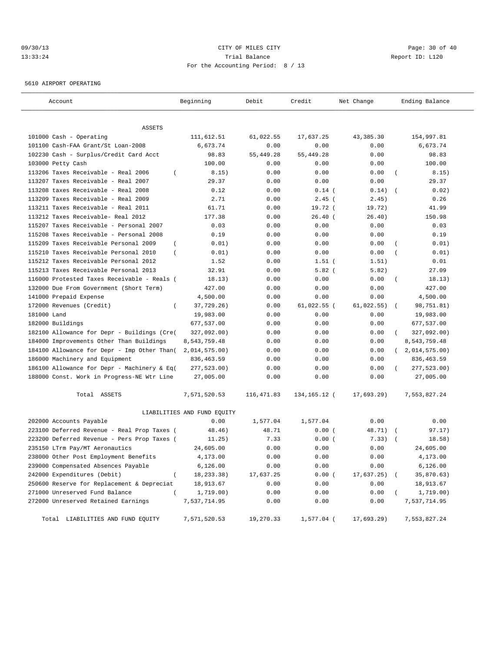# 09/30/13 Page: 30 of 40 13:33:24 Trial Balance Report ID: L120 For the Accounting Period: 8 / 13

5610 AIRPORT OPERATING

| Account                                                 | Beginning                   | Debit                 | Credit         | Net Change    | Ending Balance          |
|---------------------------------------------------------|-----------------------------|-----------------------|----------------|---------------|-------------------------|
|                                                         |                             |                       |                |               |                         |
| ASSETS                                                  |                             |                       |                |               |                         |
| 101000 Cash - Operating                                 | 111,612.51                  | 61,022.55             | 17,637.25      | 43,385.30     | 154,997.81              |
| 101100 Cash-FAA Grant/St Loan-2008                      | 6,673.74                    | 0.00                  | 0.00           | 0.00          | 6,673.74                |
| 102230 Cash - Surplus/Credit Card Acct                  | 98.83                       | 55,449.28             | 55, 449.28     | 0.00          | 98.83                   |
| 103000 Petty Cash                                       | 100.00                      | 0.00                  | 0.00           | 0.00          | 100.00                  |
| 113206 Taxes Receivable - Real 2006<br>$\overline{ }$   | 8.15)                       | 0.00                  | 0.00           | 0.00          | 8.15)<br>$\overline{ }$ |
| 113207 Taxes Receivable - Real 2007                     | 29.37                       | 0.00                  | 0.00           | 0.00          | 29.37                   |
| 113208 taxes Receivable - Real 2008                     | 0.12                        | 0.00                  | $0.14$ (       | 0.14)         | 0.02)<br>$\sqrt{2}$     |
| 113209 Taxes Receivable - Real 2009                     | 2.71                        | 0.00                  | $2.45$ (       | 2.45)         | 0.26                    |
| 113211 Taxes Receivable - Real 2011                     | 61.71                       | 0.00                  | 19.72 (        | 19.72)        | 41.99                   |
| 113212 Taxes Receivable- Real 2012                      | 177.38                      | 0.00                  | $26.40$ (      | 26.40)        | 150.98                  |
| 115207 Taxes Receivable - Personal 2007                 | 0.03                        | 0.00                  | 0.00           | 0.00          | 0.03                    |
| 115208 Taxes Receivable - Personal 2008                 | 0.19                        | 0.00                  | 0.00           | 0.00          | 0.19                    |
| 115209 Taxes Receivable Personal 2009<br>$\left($       | 0.01)                       | 0.00                  | 0.00           | 0.00          | 0.01)                   |
| 115210 Taxes Receivable Personal 2010<br>$\overline{ }$ | 0.01)                       | 0.00                  | 0.00           | 0.00          | 0.01)                   |
| 115212 Taxes Receivable Personal 2012                   | 1.52                        | 0.00                  | $1.51$ (       | 1.51)         | 0.01                    |
| 115213 Taxes Receivable Personal 2013                   | 32.91                       | 0.00                  | $5.82$ (       | 5.82)         | 27.09                   |
| 116000 Protested Taxes Receivable - Reals (             | 18.13)                      | 0.00                  | 0.00           | 0.00          | 18.13)<br>$\left($      |
| 132000 Due From Government (Short Term)                 | 427.00                      | 0.00                  | 0.00           | 0.00          | 427.00                  |
| 141000 Prepaid Expense                                  | 4,500.00                    | 0.00                  | 0.00           | 0.00          | 4,500.00                |
| 172000 Revenues (Credit)<br>$\left($                    | 37,729.26)                  | 0.00                  | $61,022.55$ (  | 61,022.55)    | 98,751.81)              |
| 181000 Land                                             | 19,983.00                   | 0.00                  | 0.00           | 0.00          | 19,983.00               |
| 182000 Buildings                                        | 677,537.00                  | 0.00                  | 0.00           | 0.00          | 677,537.00              |
| 182100 Allowance for Depr - Buildings (Cre(             | 327,092.00)                 | 0.00                  | 0.00           | 0.00          | 327,092.00)             |
| 184000 Improvements Other Than Buildings                | 8,543,759.48                | 0.00                  | 0.00           | 0.00          | 8,543,759.48            |
| 184100 Allowance for Depr - Imp Other Than(             | 2,014,575.00)               | 0.00                  | 0.00           | 0.00          | (2,014,575.00)          |
| 186000 Machinery and Equipment                          | 836, 463.59                 | 0.00                  | 0.00           | 0.00          | 836, 463.59             |
| 186100 Allowance for Depr - Machinery & Eq(             | 277,523.00)                 | 0.00                  | 0.00           | 0.00          | 277,523.00)<br>$\left($ |
| 188000 Const. Work in Progress-NE Wtr Line              | 27,005.00                   | 0.00                  | 0.00           | 0.00          | 27,005.00               |
| Total ASSETS                                            | 7,571,520.53                | 116,471.83            | 134, 165. 12 ( | 17,693.29)    | 7,553,827.24            |
|                                                         | LIABILITIES AND FUND EQUITY |                       |                |               |                         |
| 202000 Accounts Payable                                 | 0.00                        | 1,577.04              | 1,577.04       | 0.00          | 0.00                    |
| 223100 Deferred Revenue - Real Prop Taxes (             | 48.46)                      | 48.71                 | 0.00(          | 48.71)        | 97.17)<br>$\sqrt{2}$    |
| 223200 Deferred Revenue - Pers Prop Taxes (             | 11.25)                      | 7.33                  | 0.00(          | 7.33)         | 18.58)                  |
| 235150 LTrm Pay/MT Aeronautics                          | 24,605.00                   | 0.00                  | 0.00           | 0.00          | 24,605.00               |
| 238000 Other Post Employment Benefits                   | 4,173.00                    | 0.00                  | 0.00           | 0.00          | 4,173.00                |
| 239000 Compensated Absences Payable                     | 6,126.00                    | ${\bf 0}$ . ${\bf 0}$ | 0.00           | 0.00          | 6,126.00                |
| 242000 Expenditures (Debit)<br>$\overline{(\ }$         | 18, 233. 38)                | 17,637.25             | 0.00(          | $17,637.25$ ( | 35,870.63)              |
| 250600 Reserve for Replacement & Depreciat              | 18,913.67                   | 0.00                  | 0.00           | 0.00          | 18,913.67               |
| 271000 Unreserved Fund Balance<br>$\left($              | 1,719.00)                   | 0.00                  | 0.00           | 0.00          | 1,719.00)               |
| 272000 Unreserved Retained Earnings                     | 7,537,714.95                | 0.00                  | 0.00           | 0.00          | 7,537,714.95            |
| Total LIABILITIES AND FUND EQUITY                       | 7,571,520.53                | 19,270.33             | 1,577.04 (     | 17,693.29)    | 7,553,827.24            |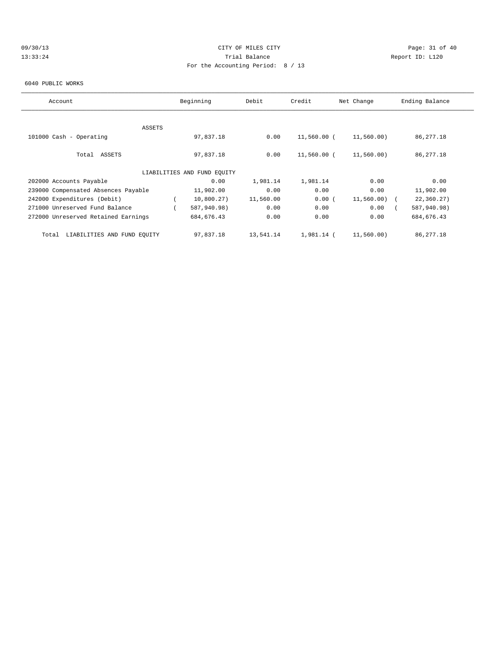# 09/30/13 Page: 31 of 40 13:33:24 Trial Balance Report ID: L120 For the Accounting Period: 8 / 13

### 6040 PUBLIC WORKS

| Account                              | Beginning                   | Debit     | Credit      | Net Change | Ending Balance |
|--------------------------------------|-----------------------------|-----------|-------------|------------|----------------|
|                                      |                             |           |             |            |                |
| <b>ASSETS</b>                        |                             |           |             |            |                |
| 101000 Cash - Operating              | 97,837.18                   | 0.00      | 11,560.00 ( | 11,560.00) | 86,277.18      |
|                                      |                             |           |             |            |                |
| Total ASSETS                         | 97,837.18                   | 0.00      | 11,560.00 ( | 11,560.00) | 86,277.18      |
|                                      |                             |           |             |            |                |
|                                      | LIABILITIES AND FUND EQUITY |           |             |            |                |
| 202000 Accounts Payable              | 0.00                        | 1,981.14  | 1,981.14    | 0.00       | 0.00           |
| 239000 Compensated Absences Payable  | 11,902.00                   | 0.00      | 0.00        | 0.00       | 11,902.00      |
| 242000 Expenditures (Debit)          | 10,800.27)                  | 11,560.00 | 0.00(       | 11,560.00) | 22,360.27)     |
| 271000 Unreserved Fund Balance       | 587,940.98)                 | 0.00      | 0.00        | 0.00       | 587,940.98)    |
| 272000 Unreserved Retained Earnings  | 684, 676.43                 | 0.00      | 0.00        | 0.00       | 684, 676.43    |
|                                      |                             |           |             |            |                |
| LIABILITIES AND FUND EQUITY<br>Total | 97,837.18                   | 13,541.14 | 1,981.14 (  | 11,560.00) | 86,277.18      |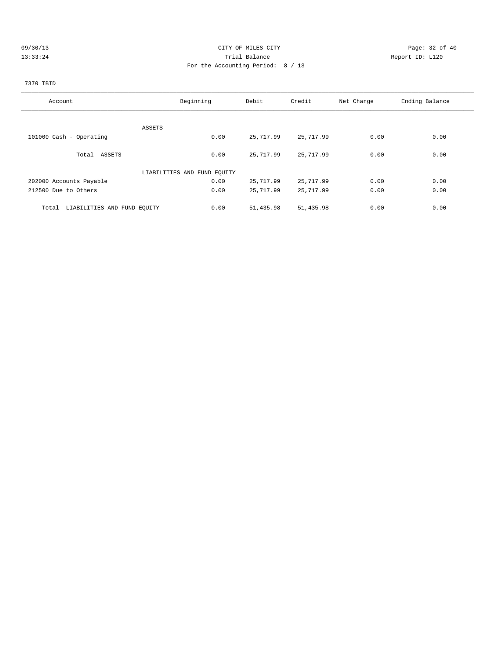|  |  |  | 09/30/13 |  |
|--|--|--|----------|--|
|  |  |  | 12.22.21 |  |

# CITY OF MILES CITY CONTROL CONTROL CONTROL CONTROL CITY 13:33:24 Trial Balance Report ID: L120 For the Accounting Period: 8 / 13

# 7370 TBID

| Account                              | Beginning                   | Debit     | Credit     | Net Change | Ending Balance |
|--------------------------------------|-----------------------------|-----------|------------|------------|----------------|
|                                      |                             |           |            |            |                |
| ASSETS                               |                             |           |            |            |                |
| 101000 Cash - Operating              | 0.00                        | 25,717.99 | 25,717.99  | 0.00       | 0.00           |
| Total ASSETS                         | 0.00                        | 25,717.99 | 25,717.99  | 0.00       | 0.00           |
|                                      | LIABILITIES AND FUND EQUITY |           |            |            |                |
| 202000 Accounts Payable              | 0.00                        | 25,717.99 | 25,717.99  | 0.00       | 0.00           |
| 212500 Due to Others                 | 0.00                        | 25,717.99 | 25,717.99  | 0.00       | 0.00           |
| LIABILITIES AND FUND EQUITY<br>Total | 0.00                        | 51,435.98 | 51, 435.98 | 0.00       | 0.00           |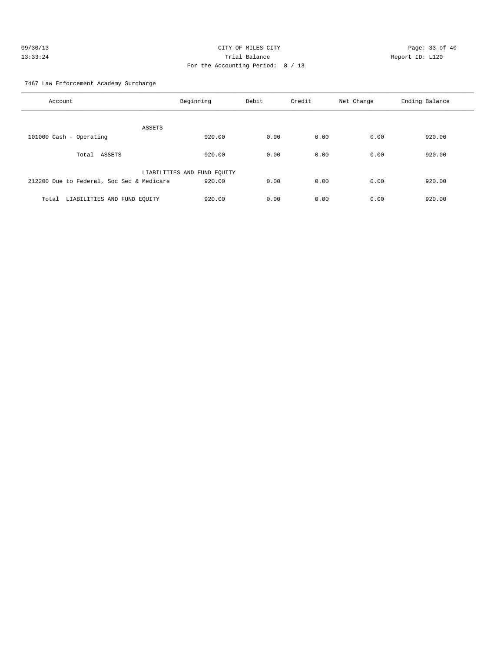| 09/30/13 | CITY OF MILES CITY                | Page: $33o$     |
|----------|-----------------------------------|-----------------|
| 13:33:24 | Trial Balance                     | Report ID: L120 |
|          | For the Accounting Period: 8 / 13 |                 |

Page: 33 of 40

7467 Law Enforcement Academy Surcharge

| Account                                   | Beginning                   | Debit | Credit | Net Change | Ending Balance |
|-------------------------------------------|-----------------------------|-------|--------|------------|----------------|
| ASSETS                                    |                             |       |        |            |                |
| 101000 Cash - Operating                   | 920.00                      | 0.00  | 0.00   | 0.00       | 920.00         |
| Total ASSETS                              | 920.00                      | 0.00  | 0.00   | 0.00       | 920.00         |
|                                           | LIABILITIES AND FUND EQUITY |       |        |            |                |
| 212200 Due to Federal, Soc Sec & Medicare | 920.00                      | 0.00  | 0.00   | 0.00       | 920.00         |
| LIABILITIES AND FUND EQUITY<br>Total      | 920.00                      | 0.00  | 0.00   | 0.00       | 920.00         |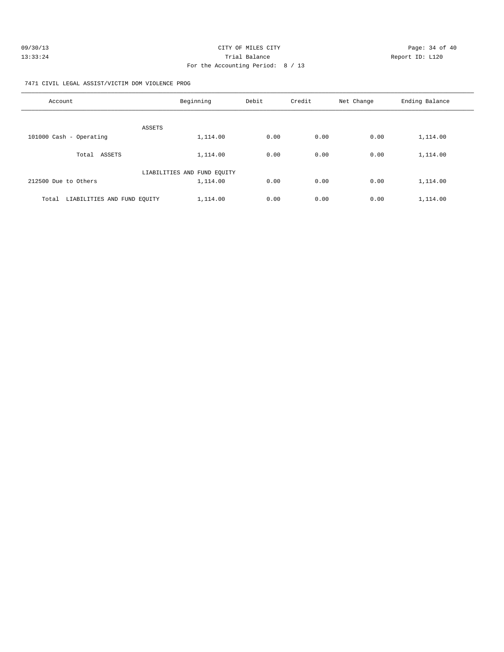| 09/30/13 | CITY OF MILES CITY                | Page: 34 of 40  |
|----------|-----------------------------------|-----------------|
| 13:33:24 | Trial Balance                     | Report ID: L120 |
|          | For the Accounting Period: 8 / 13 |                 |

7471 CIVIL LEGAL ASSIST/VICTIM DOM VIOLENCE PROG

| Account                              | Beginning                   | Debit | Credit | Net Change | Ending Balance |
|--------------------------------------|-----------------------------|-------|--------|------------|----------------|
| ASSETS                               |                             |       |        |            |                |
| 101000 Cash - Operating              | 1,114.00                    | 0.00  | 0.00   | 0.00       | 1,114.00       |
| ASSETS<br>Total                      | 1,114.00                    | 0.00  | 0.00   | 0.00       | 1,114.00       |
|                                      | LIABILITIES AND FUND EQUITY |       |        |            |                |
| 212500 Due to Others                 | 1,114.00                    | 0.00  | 0.00   | 0.00       | 1,114.00       |
| LIABILITIES AND FUND EQUITY<br>Total | 1,114.00                    | 0.00  | 0.00   | 0.00       | 1,114.00       |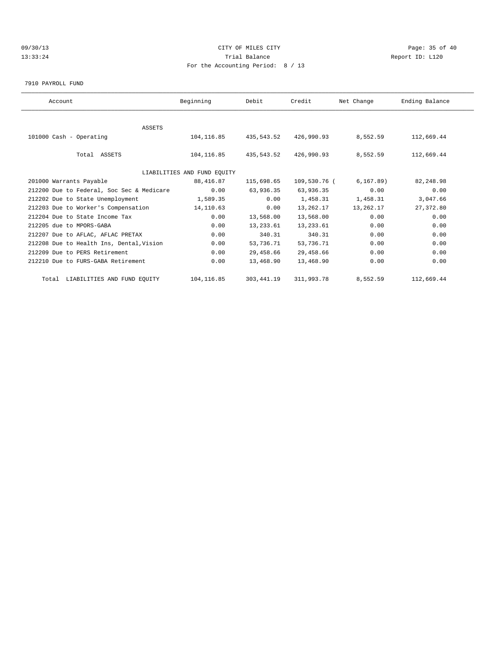# 09/30/13 Page: 35 of 40 13:33:24 Trial Balance Report ID: L120 For the Accounting Period: 8 / 13

#### 7910 PAYROLL FUND

| Account                                   | Beginning                   | Debit                   | Credit       | Net Change | Ending Balance |  |
|-------------------------------------------|-----------------------------|-------------------------|--------------|------------|----------------|--|
|                                           |                             |                         |              |            |                |  |
| <b>ASSETS</b>                             |                             |                         |              |            |                |  |
| 101000 Cash - Operating                   |                             | 104, 116.85 435, 543.52 | 426,990.93   | 8,552.59   | 112,669.44     |  |
|                                           |                             |                         |              |            |                |  |
| Total ASSETS                              | 104, 116.85                 | 435,543.52              | 426,990.93   | 8,552.59   | 112,669.44     |  |
|                                           |                             |                         |              |            |                |  |
|                                           | LIABILITIES AND FUND EQUITY |                         |              |            |                |  |
| 201000 Warrants Payable                   | 88,416.87                   | 115,698.65              | 109,530.76 ( | 6, 167.89) | 82,248.98      |  |
| 212200 Due to Federal, Soc Sec & Medicare | 0.00                        | 63,936.35               | 63,936.35    | 0.00       | 0.00           |  |
| 212202 Due to State Unemployment          | 1,589.35                    | 0.00                    | 1,458.31     | 1,458.31   | 3,047.66       |  |
| 212203 Due to Worker's Compensation       | 14,110.63                   | 0.00                    | 13,262.17    | 13,262.17  | 27, 372.80     |  |
| 212204 Due to State Income Tax            | 0.00                        | 13,568.00               | 13,568.00    | 0.00       | 0.00           |  |
| 212205 due to MPORS-GABA                  | 0.00                        | 13,233.61               | 13, 233.61   | 0.00       | 0.00           |  |
| 212207 Due to AFLAC, AFLAC PRETAX         | 0.00                        | 340.31                  | 340.31       | 0.00       | 0.00           |  |
| 212208 Due to Health Ins, Dental, Vision  | 0.00                        | 53,736.71               | 53,736.71    | 0.00       | 0.00           |  |
| 212209 Due to PERS Retirement             | 0.00                        | 29,458.66               | 29,458.66    | 0.00       | 0.00           |  |
| 212210 Due to FURS-GABA Retirement        | 0.00                        | 13,468.90               | 13,468.90    | 0.00       | 0.00           |  |
| Total LIABILITIES AND FUND EQUITY         | 104, 116.85                 | 303, 441.19             | 311,993.78   | 8,552.59   | 112,669.44     |  |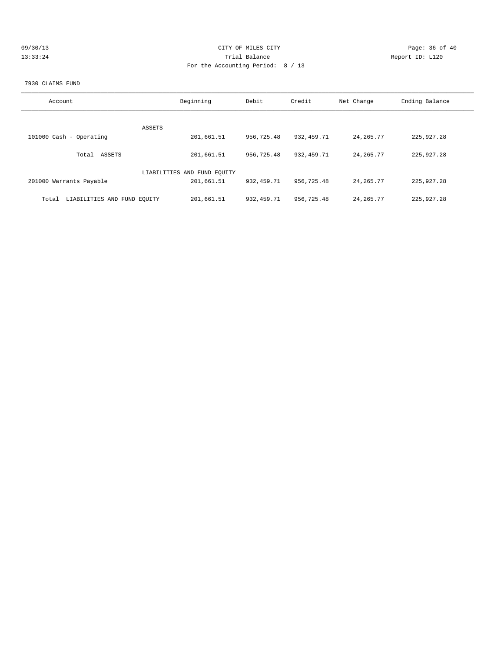| 09/30/13 | CITY OF MILES CITY                | Page: 36 of 40  |
|----------|-----------------------------------|-----------------|
| 13:33:24 | Trial Balance                     | Report ID: L120 |
|          | For the Accounting Period: 8 / 13 |                 |

### 7930 CLAIMS FUND

| Account                              | Beginning                   | Debit      | Credit       | Net Change  | Ending Balance |
|--------------------------------------|-----------------------------|------------|--------------|-------------|----------------|
| ASSETS                               |                             |            |              |             |                |
| 101000 Cash - Operating              | 201,661.51                  | 956,725.48 | 932,459.71   | 24, 265. 77 | 225,927.28     |
| ASSETS<br>Total                      | 201,661.51                  | 956,725.48 | 932, 459. 71 | 24, 265.77  | 225, 927. 28   |
|                                      | LIABILITIES AND FUND EOUITY |            |              |             |                |
| 201000 Warrants Payable              | 201,661.51                  | 932,459.71 | 956,725.48   | 24, 265.77  | 225, 927. 28   |
| LIABILITIES AND FUND EQUITY<br>Total | 201,661.51                  | 932,459.71 | 956,725.48   | 24, 265. 77 | 225, 927. 28   |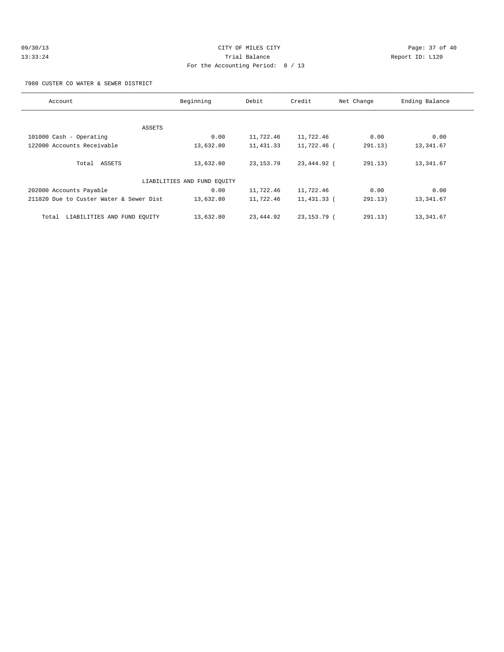| 09/30/13 | CITY OF MILES CITY                | Page: 37 of 40  |
|----------|-----------------------------------|-----------------|
| 13:33:24 | Trial Balance                     | Report ID: L120 |
|          | For the Accounting Period: 8 / 13 |                 |

7980 CUSTER CO WATER & SEWER DISTRICT

| Account                                 | Beginning                   | Debit       | Credit        | Net Change | Ending Balance |
|-----------------------------------------|-----------------------------|-------------|---------------|------------|----------------|
|                                         |                             |             |               |            |                |
|                                         | ASSETS                      |             |               |            |                |
| 101000 Cash - Operating                 | 0.00                        | 11,722.46   | 11,722.46     | 0.00       | 0.00           |
| 122000 Accounts Receivable              | 13,632.80                   | 11,431.33   | 11,722.46 (   | 291.13)    | 13,341.67      |
| Total ASSETS                            | 13,632.80                   | 23, 153. 79 | 23,444.92 (   | 291.13)    | 13, 341.67     |
|                                         | LIABILITIES AND FUND EQUITY |             |               |            |                |
| 202000 Accounts Payable                 | 0.00                        | 11,722.46   | 11,722.46     | 0.00       | 0.00           |
| 211020 Due to Custer Water & Sewer Dist | 13,632.80                   | 11,722.46   | 11,431.33 (   | 291.13)    | 13,341.67      |
| LIABILITIES AND FUND EQUITY<br>Total    | 13,632.80                   | 23,444.92   | 23, 153. 79 ( | 291.13)    | 13,341.67      |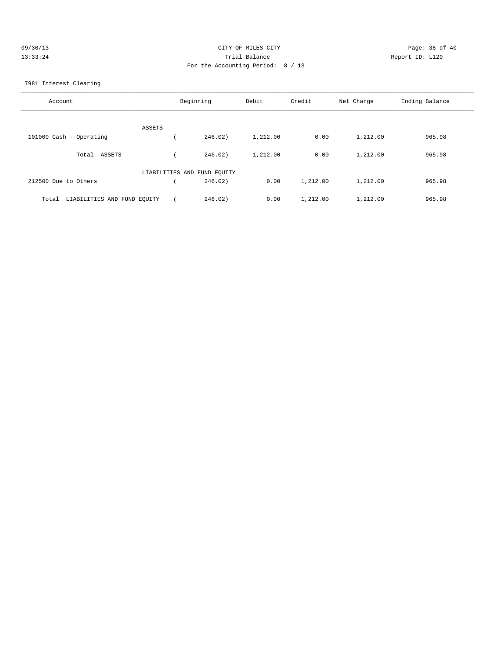| 09/30/13 | CITY OF MILES CITY                |                 | Page: 38 of 40 |
|----------|-----------------------------------|-----------------|----------------|
| 13:33:24 | Trial Balance                     | Report ID: L120 |                |
|          | For the Accounting Period: 8 / 13 |                 |                |

7981 Interest Clearing

| Account                              |                             | Beginning | Debit    | Credit   | Net Change | Ending Balance |
|--------------------------------------|-----------------------------|-----------|----------|----------|------------|----------------|
|                                      | ASSETS                      |           |          |          |            |                |
| 101000 Cash - Operating              |                             | 246.02)   | 1,212.00 | 0.00     | 1,212.00   | 965.98         |
| ASSETS<br>Total                      |                             | 246.02)   | 1,212.00 | 0.00     | 1,212.00   | 965.98         |
|                                      | LIABILITIES AND FUND EQUITY |           |          |          |            |                |
| 212500 Due to Others                 |                             | 246.02)   | 0.00     | 1,212.00 | 1,212.00   | 965.98         |
| LIABILITIES AND FUND EQUITY<br>Total |                             | 246.02)   | 0.00     | 1,212.00 | 1,212.00   | 965.98         |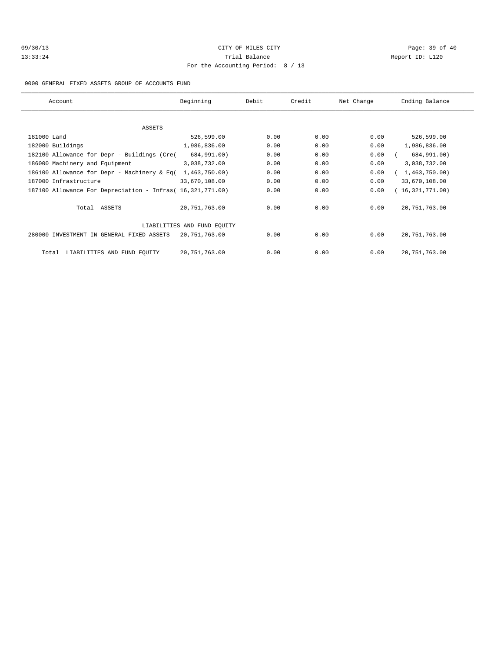| 09/30/13 |  |
|----------|--|
| 13:33:24 |  |

# CITY OF MILES CITY CONTROL CONTROL CONTROL CONTROL CONTROL PAGE: 39 of 40 13:33:33:24 Trial Balance Report ID: L120 For the Accounting Period: 8 / 13

9000 GENERAL FIXED ASSETS GROUP OF ACCOUNTS FUND

| Account                                                    | Beginning                   | Debit | Credit | Net Change | Ending Balance  |
|------------------------------------------------------------|-----------------------------|-------|--------|------------|-----------------|
|                                                            |                             |       |        |            |                 |
| <b>ASSETS</b>                                              |                             |       |        |            |                 |
| 181000 Land                                                | 526,599.00                  | 0.00  | 0.00   | 0.00       | 526,599.00      |
| 182000 Buildings                                           | 1,986,836.00                | 0.00  | 0.00   | 0.00       | 1,986,836.00    |
| 182100 Allowance for Depr - Buildings (Cre(                | 684,991.00)                 | 0.00  | 0.00   | 0.00       | 684,991.00)     |
| 186000 Machinery and Equipment                             | 3,038,732.00                | 0.00  | 0.00   | 0.00       | 3,038,732.00    |
| 186100 Allowance for Depr - Machinery & Eq(                | 1,463,750.00)               | 0.00  | 0.00   | 0.00       | 1,463,750.00    |
| 187000 Infrastructure                                      | 33,670,108.00               | 0.00  | 0.00   | 0.00       | 33,670,108.00   |
| 187100 Allowance For Depreciation - Infras( 16,321,771.00) |                             | 0.00  | 0.00   | 0.00       | 16,321,771.00   |
| Total ASSETS                                               | 20,751,763.00               | 0.00  | 0.00   | 0.00       | 20, 751, 763.00 |
|                                                            | LIABILITIES AND FUND EOUITY |       |        |            |                 |
| 280000 INVESTMENT IN GENERAL FIXED ASSETS                  | 20,751,763.00               | 0.00  | 0.00   | 0.00       | 20, 751, 763.00 |
| LIABILITIES AND FUND EQUITY<br>Total                       | 20,751,763.00               | 0.00  | 0.00   | 0.00       | 20, 751, 763.00 |